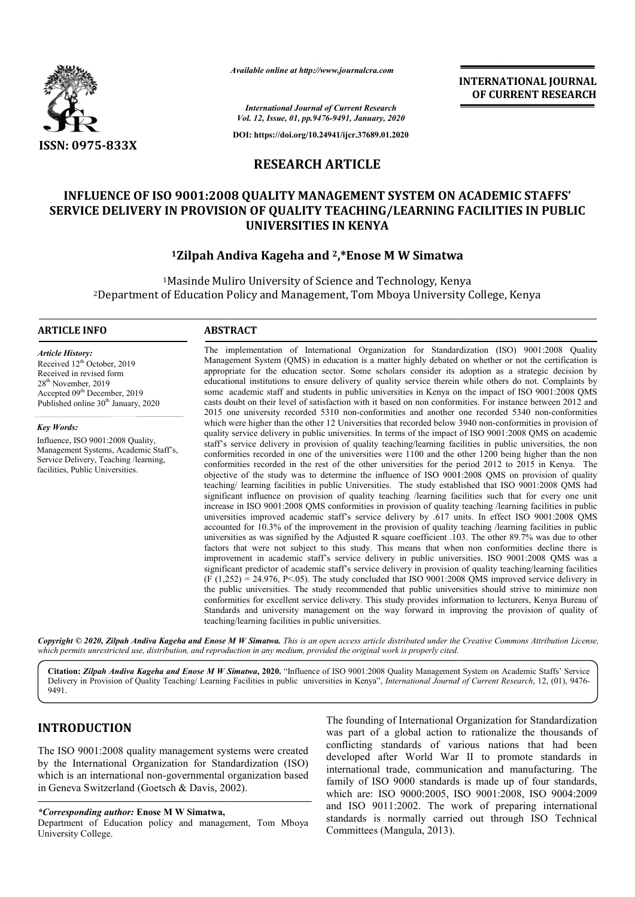

*Available online at http://www.journalcra.com*

**INTERNATIONAL JOURNAL OF CURRENT RESEARCH**

*International Journal of Current Research Vol. 12, Issue, 01, pp.9476-9491, January, 2020*

**DOI: https://doi.org/10.24941/ijcr.37689.01.2020**

# **RESEARCH ARTICLE**

# **INFLUENCE OF ISO 9001:2008 QUALITY MANAGEMENT SYSTEM ON ACADEMIC STAFFS' SERVICE DELIVERY IN PROVISION OF QUALITY TEACHING/LEARNING FACILITIES IN PUBLIC UNIVERSITIES IN KENYA**

# **1Zilpah Andiva Kageha and 2,\*Enose M W Simatwa Simatwa**

<sup>1</sup>Masinde Muliro University of Science and Technology, Kenya <sup>2</sup>Department of Education Policy and Management, Tom Mboya University College, Kenya

#### **ARTICLE INFO ABSTRACT**

*Article History:* Received 12<sup>th</sup> October, 2019 Received in revised form 28th November, 2019 Accepted 09<sup>th</sup> December, 2019 Published online 30<sup>th</sup> January, 2020

*Key Words:*

Influence, ISO 9001:2008 Quality, Management Systems, Academic Staff's, Service Delivery, Teaching /learning, facilities, Public Universities.

Management System (QMS) in education is a matter highly debated on whether or not the certification is appropriate for the education sector. Some scholars consider its adoption as a strategic decision by educational institutions to ensure delivery of quality service therein while others do not. Complaints by some academic staff and students in public universities in Kenya on the impact of ISO 9001:2008 QMS casts do doubt on their level of satisfaction with it based on non conformities. For instance between 2012 and 2015 one university recorded 5310 non non-conformities and another one recorded 5340 non which were higher than the other 12 Universities that recorded below 3940 non-conformities in provision of quality service delivery in public universities. In terms of the impact of ISO 9001:2008 QMS on academic quality service delivery in public universities. In terms of the impact of ISO 9001:2008 QMS on academic staff's service delivery in provision of quality teaching/learning facilities in public universities, the non conformities recorded in one of the universities were 1100 and the other 1200 being higher than the non conformities recorded in the rest of the other universities for the period 2012 to 2015 in Kenya. The objective of the study was to determine the influence of ISO 9001:2008 QMS on provision of quality teaching/ learning facilities in public Universities. The study established that ISO 9001:2008 QMS had significant influence on provision of quality teaching /learning facilities such that for every one unit increase in ISO 9001:2008 QMS conformities in provision of quality teaching /learning facilities in public universities improved academic staff's service delivery by .617 units. In effect ISO 9001:2008 QMS accounted for 10.3% of the improvement in the provision of quality teaching /learning facilities in public universities as was signified by the Adjusted R square coefficient .103. The other 89.7% was due to other factors that were not subject to this study. This means that when non conformities decline there is improvement in academic staff's service delivery in public universities. ISO 9001:2008 QMS was a significant predictor of academic staff's service delivery in provision of quality teaching/learning facilities  $(F (1,252) = 24.976, P<.05)$ . The study concluded that ISO 9001:2008 QMS improved service delivery in the public universities. The study recommended that public universities should strive to minimize non conformities for excellent service delivery. This study provides information to lecturers, Kenya Bureau of Standards and university management on the way forward in improving the provision of quality of teaching/learning facilities in public universities. The implementation of International Organization for Standardization (ISO) 9001:2008 Quality Management System (QMS) in education is a matter highly debated on whether or not the certification is appropriate for the educat conformities recorded in one of the universities were 1100 and the other 1200 being higher than the non conformities recorded in the rest of the other universities for the period 2012 to 2015 in Kenya. The objective of the increase in ISO 9001:2008 QMS conformities in provision of quality teaching /learning facilities in public universities improved academic staff's service delivery by .617 units. In effect ISO 9001:2008 QMS accounted for 10 improvement in academic staff's service delivery in public universities. ISO 9001:2008 QMS was a significant predictor of academic staff's service delivery in provision of quality teaching/learning facilities (F (1,252) = **INTERNATIONAL JOURNAL FORMATION (CONTRAMENT)**<br> **CONTRAMENT CONTRAMENT PRESEARCH**<br> **CONTRAMENT PRESEARCH**<br> **CONTRAMENT PRESEARCHERS**<br> **CONTRAMENT CONTRAMENT PRESEARCHERS**<br> **CONTRAMENT CONTRAMENT CONTRAMENT PRESEARCHERS**<br>

The implementation of International Organization for Standardization (ISO) 9001:2008 Quality

Copyright © 2020, Zilpah Andiva Kageha and Enose M W Simatwa. This is an open access article distributed under the Creative Commons Attribution License, which permits unrestricted use, distribution, and reproduction in any medium, provided the original work is properly cited.

Citation: Zilpah Andiva Kageha and Enose M W Simatwa, 2020. "Influence of ISO 9001:2008 Quality Management System on Academic Staffs' Service Delivery in Provision of Quality Teaching/ Learning Facilities in public universities in Kenya", *International Journal of Current Research*, 12, (01), 9476-9491.

# **INTRODUCTION**

The ISO 9001:2008 quality management systems were created by the International Organization for Standardization (ISO) which is an international non-governmental organization based in Geneva Switzerland (Goetsch & Davis, 2002).

#### *\*Corresponding author:* **Enose M W Simatwa,**

Department of Education policy and management, Tom Mboya University College.

The founding of International Organization for Standardization<br>was part of a global action to rationalize the thousands of<br>conflicting standards of various nations that had been<br>ation for Standardization (ISO)<br>governmental was part of a global action to rationalize the thousands of conflicting standards of various nations that had been developed after World War II to promote standards in international trade, communication and manufacturing. The family of ISO 9000 standards is made up of four standards, which are: ISO 9000:2005, ISO 9001:2008, ISO 9004:2009 and ISO 9011:2002. The work of preparing international standards is normally carried out through ISO Technical Committees (Mangula, 2013). g of International Organization for Standardization<br>a global action to rationalize the thousands of<br>standards of various nations that had been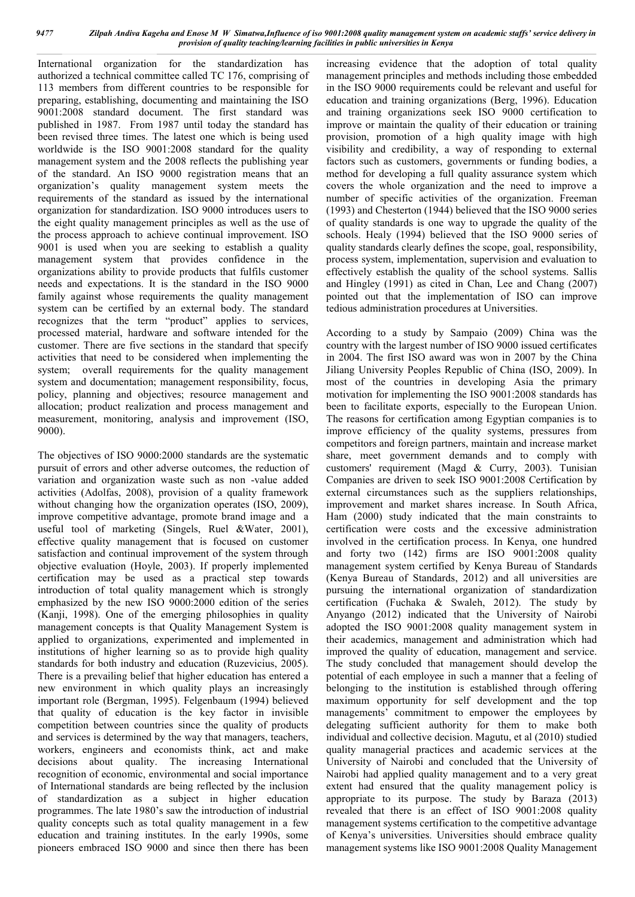International organization for the standardization has authorized a technical committee called TC 176, comprising of 113 members from different countries to be responsible for preparing, establishing, documenting and maintaining the ISO 9001:2008 standard document. The first standard was published in 1987. From 1987 until today the standard has been revised three times. The latest one which is being used worldwide is the ISO 9001:2008 standard for the quality management system and the 2008 reflects the publishing year of the standard. An ISO 9000 registration means that an organization's quality management system meets the requirements of the standard as issued by the international organization for standardization. ISO 9000 introduces users to the eight quality management principles as well as the use of the process approach to achieve continual improvement. ISO 9001 is used when you are seeking to establish a quality management system that provides confidence in the organizations ability to provide products that fulfils customer needs and expectations. It is the standard in the ISO 9000 family against whose requirements the quality management system can be certified by an external body. The standard recognizes that the term "product" applies to services, processed material, hardware and software intended for the customer. There are five sections in the standard that specify activities that need to be considered when implementing the system; overall requirements for the quality management system and documentation; management responsibility, focus, policy, planning and objectives; resource management and allocation; product realization and process management and measurement, monitoring, analysis and improvement (ISO, 9000).

The objectives of ISO 9000:2000 standards are the systematic pursuit of errors and other adverse outcomes, the reduction of variation and organization waste such as non -value added activities (Adolfas, 2008), provision of a quality framework without changing how the organization operates (ISO, 2009), improve competitive advantage, promote brand image and a useful tool of marketing (Singels, Ruel &Water, 2001), effective quality management that is focused on customer satisfaction and continual improvement of the system through objective evaluation (Hoyle, 2003). If properly implemented certification may be used as a practical step towards introduction of total quality management which is strongly emphasized by the new ISO 9000:2000 edition of the series (Kanji, 1998). One of the emerging philosophies in quality management concepts is that Quality Management System is applied to organizations, experimented and implemented in institutions of higher learning so as to provide high quality standards for both industry and education (Ruzevicius, 2005). There is a prevailing belief that higher education has entered a new environment in which quality plays an increasingly important role (Bergman, 1995). Felgenbaum (1994) believed that quality of education is the key factor in invisible competition between countries since the quality of products and services is determined by the way that managers, teachers, workers, engineers and economists think, act and make decisions about quality. The increasing International recognition of economic, environmental and social importance of International standards are being reflected by the inclusion of standardization as a subject in higher education programmes. The late 1980's saw the introduction of industrial quality concepts such as total quality management in a few education and training institutes. In the early 1990s, some pioneers embraced ISO 9000 and since then there has been

increasing evidence that the adoption of total quality management principles and methods including those embedded in the ISO 9000 requirements could be relevant and useful for education and training organizations (Berg, 1996). Education and training organizations seek ISO 9000 certification to improve or maintain the quality of their education or training provision, promotion of a high quality image with high visibility and credibility, a way of responding to external factors such as customers, governments or funding bodies, a method for developing a full quality assurance system which covers the whole organization and the need to improve a number of specific activities of the organization. Freeman (1993) and Chesterton (1944) believed that the ISO 9000 series of quality standards is one way to upgrade the quality of the schools. Healy (1994) believed that the ISO 9000 series of quality standards clearly defines the scope, goal, responsibility, process system, implementation, supervision and evaluation to effectively establish the quality of the school systems. Sallis and Hingley (1991) as cited in Chan, Lee and Chang (2007) pointed out that the implementation of ISO can improve tedious administration procedures at Universities.

According to a study by Sampaio (2009) China was the country with the largest number of ISO 9000 issued certificates in 2004. The first ISO award was won in 2007 by the China Jiliang University Peoples Republic of China (ISO, 2009). In most of the countries in developing Asia the primary motivation for implementing the ISO 9001:2008 standards has been to facilitate exports, especially to the European Union. The reasons for certification among Egyptian companies is to improve efficiency of the quality systems, pressures from competitors and foreign partners, maintain and increase market share, meet government demands and to comply with customers' requirement (Magd & Curry, 2003). Tunisian Companies are driven to seek ISO 9001:2008 Certification by external circumstances such as the suppliers relationships, improvement and market shares increase. In South Africa, Ham (2000) study indicated that the main constraints to certification were costs and the excessive administration involved in the certification process. In Kenya, one hundred and forty two (142) firms are ISO 9001:2008 quality management system certified by Kenya Bureau of Standards (Kenya Bureau of Standards, 2012) and all universities are pursuing the international organization of standardization certification (Fuchaka & Swaleh, 2012). The study by Anyango (2012) indicated that the University of Nairobi adopted the ISO 9001:2008 quality management system in their academics, management and administration which had improved the quality of education, management and service. The study concluded that management should develop the potential of each employee in such a manner that a feeling of belonging to the institution is established through offering maximum opportunity for self development and the top managements' commitment to empower the employees by delegating sufficient authority for them to make both individual and collective decision. Magutu, et al (2010) studied quality managerial practices and academic services at the University of Nairobi and concluded that the University of Nairobi had applied quality management and to a very great extent had ensured that the quality management policy is appropriate to its purpose. The study by Baraza (2013) revealed that there is an effect of ISO 9001:2008 quality management systems certification to the competitive advantage of Kenya's universities. Universities should embrace quality management systems like ISO 9001:2008 Quality Management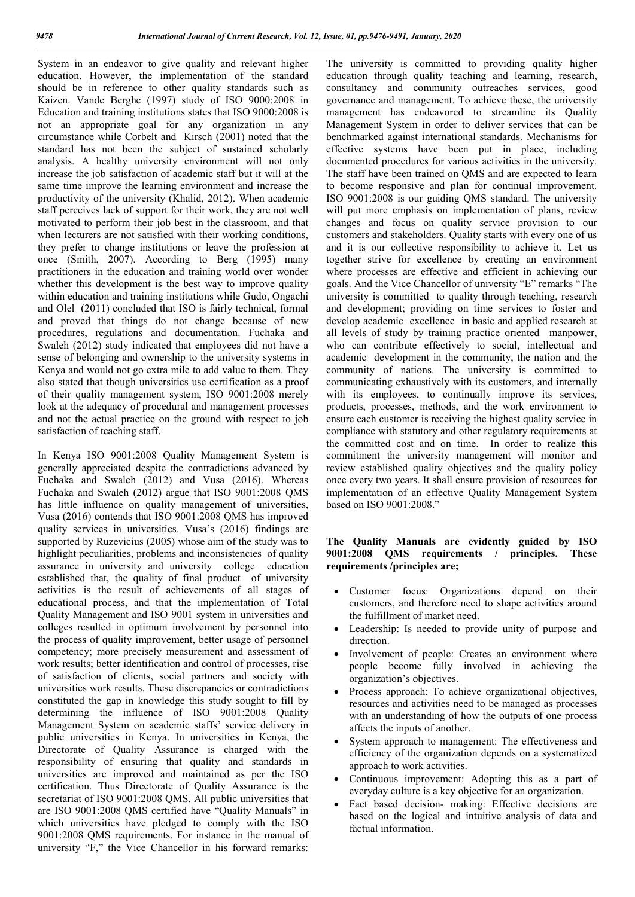System in an endeavor to give quality and relevant higher education. However, the implementation of the standard should be in reference to other quality standards such as Kaizen. Vande Berghe (1997) study of ISO 9000:2008 in Education and training institutions states that ISO 9000:2008 is not an appropriate goal for any organization in any circumstance while Corbelt and Kirsch (2001) noted that the standard has not been the subject of sustained scholarly analysis. A healthy university environment will not only increase the job satisfaction of academic staff but it will at the same time improve the learning environment and increase the productivity of the university (Khalid, 2012). When academic staff perceives lack of support for their work, they are not well motivated to perform their job best in the classroom, and that when lecturers are not satisfied with their working conditions, they prefer to change institutions or leave the profession at once (Smith, 2007). According to Berg (1995) many practitioners in the education and training world over wonder whether this development is the best way to improve quality within education and training institutions while Gudo, Ongachi and Olel (2011) concluded that ISO is fairly technical, formal and proved that things do not change because of new procedures, regulations and documentation. Fuchaka and Swaleh (2012) study indicated that employees did not have a sense of belonging and ownership to the university systems in Kenya and would not go extra mile to add value to them. They also stated that though universities use certification as a proof of their quality management system, ISO 9001:2008 merely look at the adequacy of procedural and management processes and not the actual practice on the ground with respect to job satisfaction of teaching staff.

In Kenya ISO 9001:2008 Quality Management System is generally appreciated despite the contradictions advanced by Fuchaka and Swaleh (2012) and Vusa (2016). Whereas Fuchaka and Swaleh (2012) argue that ISO 9001:2008 QMS has little influence on quality management of universities, Vusa (2016) contends that ISO 9001:2008 QMS has improved quality services in universities. Vusa's (2016) findings are supported by Ruzevicius (2005) whose aim of the study was to highlight peculiarities, problems and inconsistencies of quality assurance in university and university college education established that, the quality of final product of university activities is the result of achievements of all stages of educational process, and that the implementation of Total Quality Management and ISO 9001 system in universities and colleges resulted in optimum involvement by personnel into the process of quality improvement, better usage of personnel competency; more precisely measurement and assessment of work results; better identification and control of processes, rise of satisfaction of clients, social partners and society with universities work results. These discrepancies or contradictions constituted the gap in knowledge this study sought to fill by determining the influence of ISO 9001:2008 Quality Management System on academic staffs' service delivery in public universities in Kenya. In universities in Kenya, the Directorate of Quality Assurance is charged with the responsibility of ensuring that quality and standards in universities are improved and maintained as per the ISO certification. Thus Directorate of Quality Assurance is the secretariat of ISO 9001:2008 QMS. All public universities that are ISO 9001:2008 QMS certified have "Quality Manuals" in which universities have pledged to comply with the ISO 9001:2008 QMS requirements. For instance in the manual of university "F," the Vice Chancellor in his forward remarks:

The university is committed to providing quality higher education through quality teaching and learning, research, consultancy and community outreaches services, good governance and management. To achieve these, the university management has endeavored to streamline its Quality Management System in order to deliver services that can be benchmarked against international standards. Mechanisms for effective systems have been put in place, including documented procedures for various activities in the university. The staff have been trained on QMS and are expected to learn to become responsive and plan for continual improvement. ISO 9001:2008 is our guiding QMS standard. The university will put more emphasis on implementation of plans, review changes and focus on quality service provision to our customers and stakeholders. Quality starts with every one of us and it is our collective responsibility to achieve it. Let us together strive for excellence by creating an environment where processes are effective and efficient in achieving our goals. And the Vice Chancellor of university "E" remarks "The university is committed to quality through teaching, research and development; providing on time services to foster and develop academic excellence in basic and applied research at all levels of study by training practice oriented manpower, who can contribute effectively to social, intellectual and academic development in the community, the nation and the community of nations. The university is committed to communicating exhaustively with its customers, and internally with its employees, to continually improve its services, products, processes, methods, and the work environment to ensure each customer is receiving the highest quality service in compliance with statutory and other regulatory requirements at the committed cost and on time. In order to realize this commitment the university management will monitor and review established quality objectives and the quality policy once every two years. It shall ensure provision of resources for implementation of an effective Quality Management System based on ISO 9001:2008."

# **The Quality Manuals are evidently guided by ISO 9001:2008 QMS requirements / principles. These requirements /principles are;**

- Customer focus: Organizations depend on their customers, and therefore need to shape activities around the fulfillment of market need.
- Leadership: Is needed to provide unity of purpose and direction.
- Involvement of people: Creates an environment where people become fully involved in achieving the organization's objectives.
- Process approach: To achieve organizational objectives, resources and activities need to be managed as processes with an understanding of how the outputs of one process affects the inputs of another.
- System approach to management: The effectiveness and efficiency of the organization depends on a systematized approach to work activities.
- Continuous improvement: Adopting this as a part of everyday culture is a key objective for an organization.
- Fact based decision- making: Effective decisions are based on the logical and intuitive analysis of data and factual information.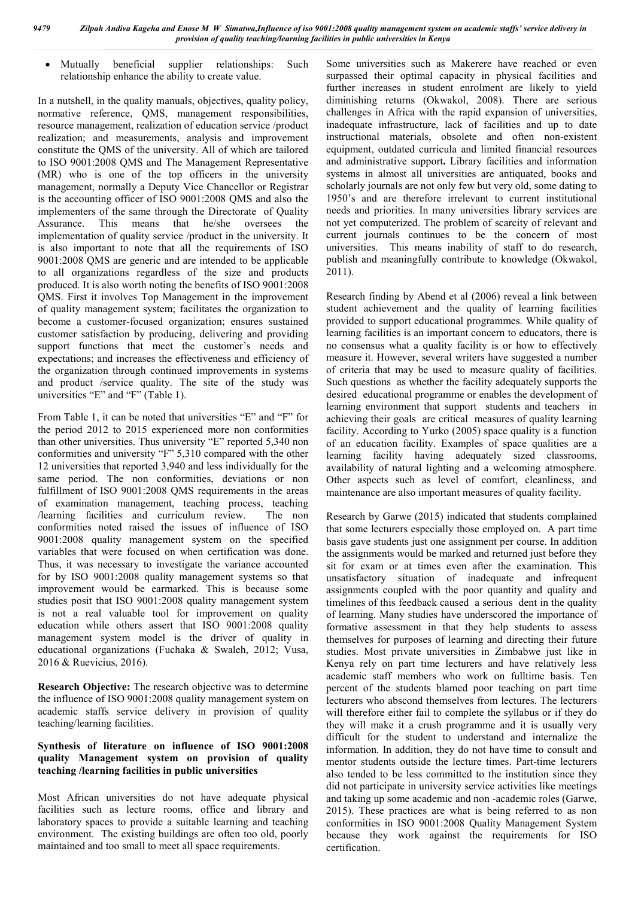Mutually beneficial supplier relationships: Such relationship enhance the ability to create value.

In a nutshell, in the quality manuals, objectives, quality policy, normative reference, QMS, management responsibilities, resource management, realization of education service /product realization; and measurements, analysis and improvement constitute the QMS of the university. All of which are tailored to ISO 9001:2008 QMS and The Management Representative (MR) who is one of the top officers in the university management, normally a Deputy Vice Chancellor or Registrar is the accounting officer of ISO 9001:2008 QMS and also the implementers of the same through the Directorate of Quality Assurance. This means that he/she oversees the implementation of quality service /product in the university. It is also important to note that all the requirements of ISO 9001:2008 QMS are generic and are intended to be applicable to all organizations regardless of the size and products produced. It is also worth noting the benefits of ISO 9001:2008 QMS. First it involves Top Management in the improvement of quality management system; facilitates the organization to become a customer-focused organization; ensures sustained customer satisfaction by producing, delivering and providing support functions that meet the customer's needs and expectations; and increases the effectiveness and efficiency of the organization through continued improvements in systems and product /service quality. The site of the study was universities "E" and "F" (Table 1).

From Table 1, it can be noted that universities "E" and "F" for the period 2012 to 2015 experienced more non conformities than other universities. Thus university "E" reported 5,340 non conformities and university "F" 5,310 compared with the other 12 universities that reported 3,940 and less individually for the same period. The non conformities, deviations or non fulfillment of ISO 9001:2008 QMS requirements in the areas of examination management, teaching process, teaching /learning facilities and curriculum review. The non conformities noted raised the issues of influence of ISO 9001:2008 quality management system on the specified variables that were focused on when certification was done. Thus, it was necessary to investigate the variance accounted for by ISO 9001:2008 quality management systems so that improvement would be earmarked. This is because some studies posit that ISO 9001:2008 quality management system is not a real valuable tool for improvement on quality education while others assert that ISO 9001:2008 quality management system model is the driver of quality in educational organizations (Fuchaka & Swaleh, 2012; Vusa, 2016 & Ruevicius, 2016).

**Research Objective:** The research objective was to determine the influence of ISO 9001:2008 quality management system on academic staffs service delivery in provision of quality teaching/learning facilities.

# **Synthesis of literature on influence of ISO 9001:2008 quality Management system on provision of quality teaching /learning facilities in public universities**

Most African universities do not have adequate physical facilities such as lecture rooms, office and library and laboratory spaces to provide a suitable learning and teaching environment. The existing buildings are often too old, poorly maintained and too small to meet all space requirements.

Some universities such as Makerere have reached or even surpassed their optimal capacity in physical facilities and further increases in student enrolment are likely to yield diminishing returns (Okwakol, 2008). There are serious challenges in Africa with the rapid expansion of universities, inadequate infrastructure, lack of facilities and up to date instructional materials, obsolete and often non-existent equipment, outdated curricula and limited financial resources and administrative support**.** Library facilities and information systems in almost all universities are antiquated, books and scholarly journals are not only few but very old, some dating to 1950's and are therefore irrelevant to current institutional needs and priorities. In many universities library services are not yet computerized. The problem of scarcity of relevant and current journals continues to be the concern of most universities. This means inability of staff to do research, publish and meaningfully contribute to knowledge (Okwakol, 2011).

Research finding by Abend et al (2006) reveal a link between student achievement and the quality of learning facilities provided to support educational programmes. While quality of learning facilities is an important concern to educators, there is no consensus what a quality facility is or how to effectively measure it. However, several writers have suggested a number of criteria that may be used to measure quality of facilities. Such questions as whether the facility adequately supports the desired educational programme or enables the development of learning environment that support students and teachers in achieving their goals are critical measures of quality learning facility. According to Yurko (2005) space quality is a function of an education facility. Examples of space qualities are a learning facility having adequately sized classrooms, availability of natural lighting and a welcoming atmosphere. Other aspects such as level of comfort, cleanliness, and maintenance are also important measures of quality facility.

Research by Garwe (2015) indicated that students complained that some lecturers especially those employed on. A part time basis gave students just one assignment per course. In addition the assignments would be marked and returned just before they sit for exam or at times even after the examination. This unsatisfactory situation of inadequate and infrequent assignments coupled with the poor quantity and quality and timelines of this feedback caused a serious dent in the quality of learning. Many studies have underscored the importance of formative assessment in that they help students to assess themselves for purposes of learning and directing their future studies. Most private universities in Zimbabwe just like in Kenya rely on part time lecturers and have relatively less academic staff members who work on fulltime basis. Ten percent of the students blamed poor teaching on part time lecturers who abscond themselves from lectures. The lecturers will therefore either fail to complete the syllabus or if they do they will make it a crush programme and it is usually very difficult for the student to understand and internalize the information. In addition, they do not have time to consult and mentor students outside the lecture times. Part-time lecturers also tended to be less committed to the institution since they did not participate in university service activities like meetings and taking up some academic and non -academic roles (Garwe, 2015). These practices are what is being referred to as non conformities in ISO 9001:2008 Quality Management System because they work against the requirements for ISO certification.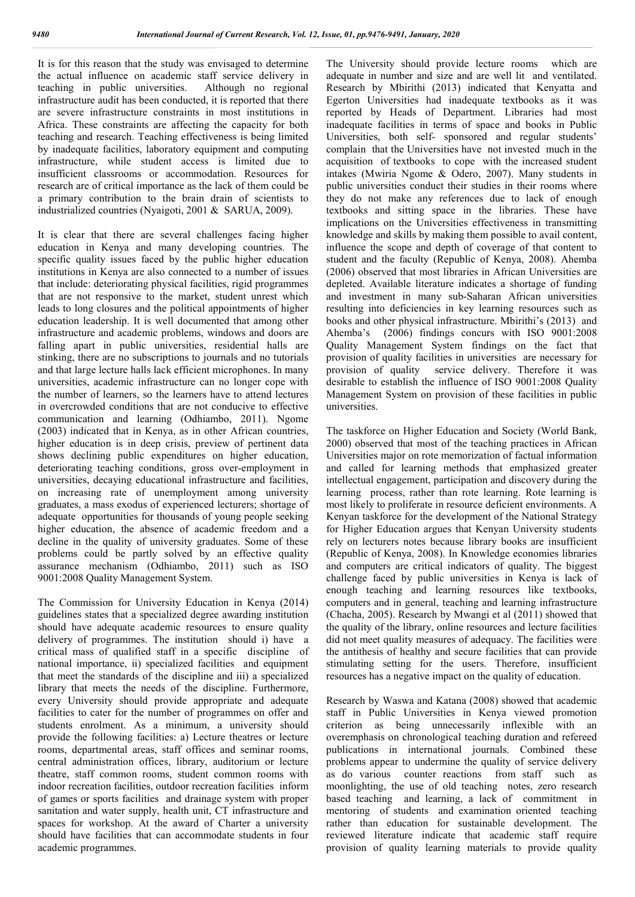It is for this reason that the study was envisaged to determine the actual influence on academic staff service delivery in teaching in public universities. Although no regional infrastructure audit has been conducted, it is reported that there are severe infrastructure constraints in most institutions in Africa. These constraints are affecting the capacity for both teaching and research. Teaching effectiveness is being limited by inadequate facilities, laboratory equipment and computing infrastructure, while student access is limited due to insufficient classrooms or accommodation. Resources for research are of critical importance as the lack of them could be a primary contribution to the brain drain of scientists to industrialized countries (Nyaigoti, 2001 & SARUA, 2009).

It is clear that there are several challenges facing higher education in Kenya and many developing countries. The specific quality issues faced by the public higher education institutions in Kenya are also connected to a number of issues that include: deteriorating physical facilities, rigid programmes that are not responsive to the market, student unrest which leads to long closures and the political appointments of higher education leadership. It is well documented that among other infrastructure and academic problems, windows and doors are falling apart in public universities, residential halls are stinking, there are no subscriptions to journals and no tutorials and that large lecture halls lack efficient microphones. In many universities, academic infrastructure can no longer cope with the number of learners, so the learners have to attend lectures in overcrowded conditions that are not conducive to effective communication and learning (Odhiambo, 2011). Ngome (2003) indicated that in Kenya, as in other African countries, higher education is in deep crisis, preview of pertinent data shows declining public expenditures on higher education, deteriorating teaching conditions, gross over-employment in universities, decaying educational infrastructure and facilities, on increasing rate of unemployment among university graduates, a mass exodus of experienced lecturers; shortage of adequate opportunities for thousands of young people seeking higher education, the absence of academic freedom and a decline in the quality of university graduates. Some of these problems could be partly solved by an effective quality assurance mechanism (Odhiambo, 2011) such as ISO 9001:2008 Quality Management System.

The Commission for University Education in Kenya (2014) guidelines states that a specialized degree awarding institution should have adequate academic resources to ensure quality delivery of programmes. The institution should i) have a critical mass of qualified staff in a specific discipline of national importance, ii) specialized facilities and equipment that meet the standards of the discipline and iii) a specialized library that meets the needs of the discipline. Furthermore, every University should provide appropriate and adequate facilities to cater for the number of programmes on offer and students enrolment. As a minimum, a university should provide the following facilities: a) Lecture theatres or lecture rooms, departmental areas, staff offices and seminar rooms, central administration offices, library, auditorium or lecture theatre, staff common rooms, student common rooms with indoor recreation facilities, outdoor recreation facilities inform of games or sports facilities and drainage system with proper sanitation and water supply, health unit, CT infrastructure and spaces for workshop. At the award of Charter a university should have facilities that can accommodate students in four academic programmes.

The University should provide lecture rooms which are adequate in number and size and are well lit and ventilated. Research by Mbirithi (2013) indicated that Kenyatta and Egerton Universities had inadequate textbooks as it was reported by Heads of Department. Libraries had most inadequate facilities in terms of space and books in Public Universities, both self- sponsored and regular students' complain that the Universities have not invested much in the acquisition of textbooks to cope with the increased student intakes (Mwiria Ngome & Odero, 2007). Many students in public universities conduct their studies in their rooms where they do not make any references due to lack of enough textbooks and sitting space in the libraries. These have implications on the Universities effectiveness in transmitting knowledge and skills by making them possible to avail content, influence the scope and depth of coverage of that content to student and the faculty (Republic of Kenya, 2008). Ahemba (2006) observed that most libraries in African Universities are depleted. Available literature indicates a shortage of funding and investment in many sub-Saharan African universities resulting into deficiencies in key learning resources such as books and other physical infrastructure. Mbirithi's (2013) and Ahemba's (2006) findings concurs with ISO 9001:2008 Quality Management System findings on the fact that provision of quality facilities in universities are necessary for provision of quality service delivery. Therefore it was desirable to establish the influence of ISO 9001:2008 Quality Management System on provision of these facilities in public universities.

The taskforce on Higher Education and Society (World Bank, 2000) observed that most of the teaching practices in African Universities major on rote memorization of factual information and called for learning methods that emphasized greater intellectual engagement, participation and discovery during the learning process, rather than rote learning. Rote learning is most likely to proliferate in resource deficient environments. A Kenyan taskforce for the development of the National Strategy for Higher Education argues that Kenyan University students rely on lecturers notes because library books are insufficient (Republic of Kenya, 2008). In Knowledge economies libraries and computers are critical indicators of quality. The biggest challenge faced by public universities in Kenya is lack of enough teaching and learning resources like textbooks, computers and in general, teaching and learning infrastructure (Chacha, 2005). Research by Mwangi et al (2011) showed that the quality of the library, online resources and lecture facilities did not meet quality measures of adequacy. The facilities were the antithesis of healthy and secure facilities that can provide stimulating setting for the users. Therefore, insufficient resources has a negative impact on the quality of education.

Research by Waswa and Katana (2008) showed that academic staff in Public Universities in Kenya viewed promotion criterion as being unnecessarily inflexible with an overemphasis on chronological teaching duration and refereed publications in international journals. Combined these problems appear to undermine the quality of service delivery as do various counter reactions from staff such as moonlighting, the use of old teaching notes, zero research based teaching and learning, a lack of commitment in mentoring of students and examination oriented teaching rather than education for sustainable development. The reviewed literature indicate that academic staff require provision of quality learning materials to provide quality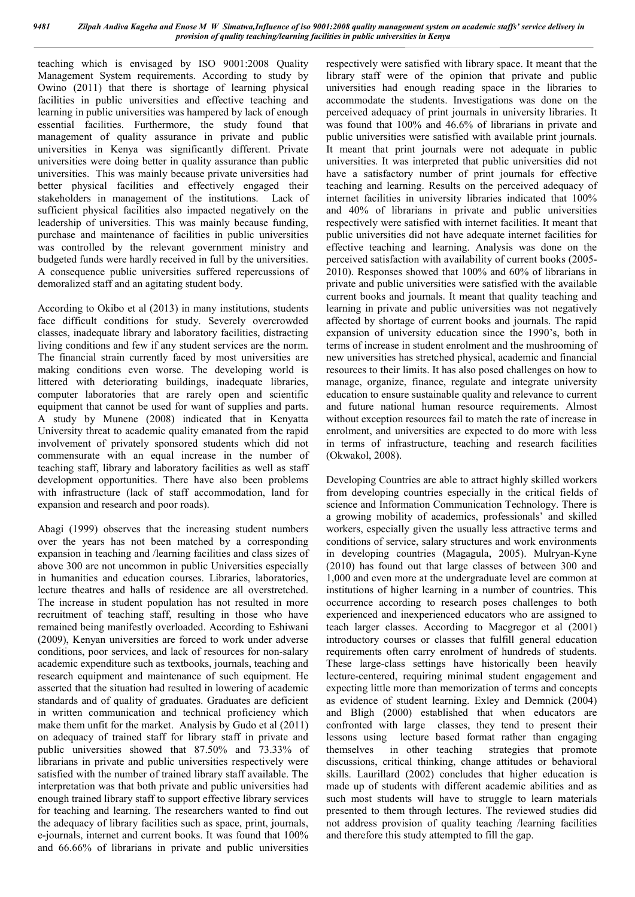teaching which is envisaged by ISO 9001:2008 Quality Management System requirements. According to study by Owino (2011) that there is shortage of learning physical facilities in public universities and effective teaching and learning in public universities was hampered by lack of enough essential facilities. Furthermore, the study found that management of quality assurance in private and public universities in Kenya was significantly different. Private universities were doing better in quality assurance than public universities. This was mainly because private universities had better physical facilities and effectively engaged their stakeholders in management of the institutions. Lack of sufficient physical facilities also impacted negatively on the leadership of universities. This was mainly because funding, purchase and maintenance of facilities in public universities was controlled by the relevant government ministry and budgeted funds were hardly received in full by the universities. A consequence public universities suffered repercussions of demoralized staff and an agitating student body.

According to Okibo et al (2013) in many institutions, students face difficult conditions for study. Severely overcrowded classes, inadequate library and laboratory facilities, distracting living conditions and few if any student services are the norm. The financial strain currently faced by most universities are making conditions even worse. The developing world is littered with deteriorating buildings, inadequate libraries, computer laboratories that are rarely open and scientific equipment that cannot be used for want of supplies and parts. A study by Munene (2008) indicated that in Kenyatta University threat to academic quality emanated from the rapid involvement of privately sponsored students which did not commensurate with an equal increase in the number of teaching staff, library and laboratory facilities as well as staff development opportunities. There have also been problems with infrastructure (lack of staff accommodation, land for expansion and research and poor roads).

Abagi (1999) observes that the increasing student numbers over the years has not been matched by a corresponding expansion in teaching and /learning facilities and class sizes of above 300 are not uncommon in public Universities especially in humanities and education courses. Libraries, laboratories, lecture theatres and halls of residence are all overstretched. The increase in student population has not resulted in more recruitment of teaching staff, resulting in those who have remained being manifestly overloaded. According to Eshiwani (2009), Kenyan universities are forced to work under adverse conditions, poor services, and lack of resources for non-salary academic expenditure such as textbooks, journals, teaching and research equipment and maintenance of such equipment. He asserted that the situation had resulted in lowering of academic standards and of quality of graduates. Graduates are deficient in written communication and technical proficiency which make them unfit for the market. Analysis by Gudo et al (2011) on adequacy of trained staff for library staff in private and public universities showed that 87.50% and 73.33% of librarians in private and public universities respectively were satisfied with the number of trained library staff available. The interpretation was that both private and public universities had enough trained library staff to support effective library services for teaching and learning. The researchers wanted to find out the adequacy of library facilities such as space, print, journals, e-journals, internet and current books. It was found that 100% and 66.66% of librarians in private and public universities

respectively were satisfied with library space. It meant that the library staff were of the opinion that private and public universities had enough reading space in the libraries to accommodate the students. Investigations was done on the perceived adequacy of print journals in university libraries. It was found that 100% and 46.6% of librarians in private and public universities were satisfied with available print journals. It meant that print journals were not adequate in public universities. It was interpreted that public universities did not have a satisfactory number of print journals for effective teaching and learning. Results on the perceived adequacy of internet facilities in university libraries indicated that 100% and 40% of librarians in private and public universities respectively were satisfied with internet facilities. It meant that public universities did not have adequate internet facilities for effective teaching and learning. Analysis was done on the perceived satisfaction with availability of current books (2005- 2010). Responses showed that 100% and 60% of librarians in private and public universities were satisfied with the available current books and journals. It meant that quality teaching and learning in private and public universities was not negatively affected by shortage of current books and journals. The rapid expansion of university education since the 1990's, both in terms of increase in student enrolment and the mushrooming of new universities has stretched physical, academic and financial resources to their limits. It has also posed challenges on how to manage, organize, finance, regulate and integrate university education to ensure sustainable quality and relevance to current and future national human resource requirements. Almost without exception resources fail to match the rate of increase in enrolment, and universities are expected to do more with less in terms of infrastructure, teaching and research facilities (Okwakol, 2008).

Developing Countries are able to attract highly skilled workers from developing countries especially in the critical fields of science and Information Communication Technology. There is a growing mobility of academics, professionals' and skilled workers, especially given the usually less attractive terms and conditions of service, salary structures and work environments in developing countries (Magagula, 2005). Mulryan-Kyne (2010) has found out that large classes of between 300 and 1,000 and even more at the undergraduate level are common at institutions of higher learning in a number of countries. This occurrence according to research poses challenges to both experienced and inexperienced educators who are assigned to teach larger classes. According to Macgregor et al (2001) introductory courses or classes that fulfill general education requirements often carry enrolment of hundreds of students. These large-class settings have historically been heavily lecture-centered, requiring minimal student engagement and expecting little more than memorization of terms and concepts as evidence of student learning. Exley and Demnick (2004) and Bligh (2000) established that when educators are confronted with large classes, they tend to present their lessons using lecture based format rather than engaging themselves in other teaching strategies that promote discussions, critical thinking, change attitudes or behavioral skills. Laurillard (2002) concludes that higher education is made up of students with different academic abilities and as such most students will have to struggle to learn materials presented to them through lectures. The reviewed studies did not address provision of quality teaching /learning facilities and therefore this study attempted to fill the gap.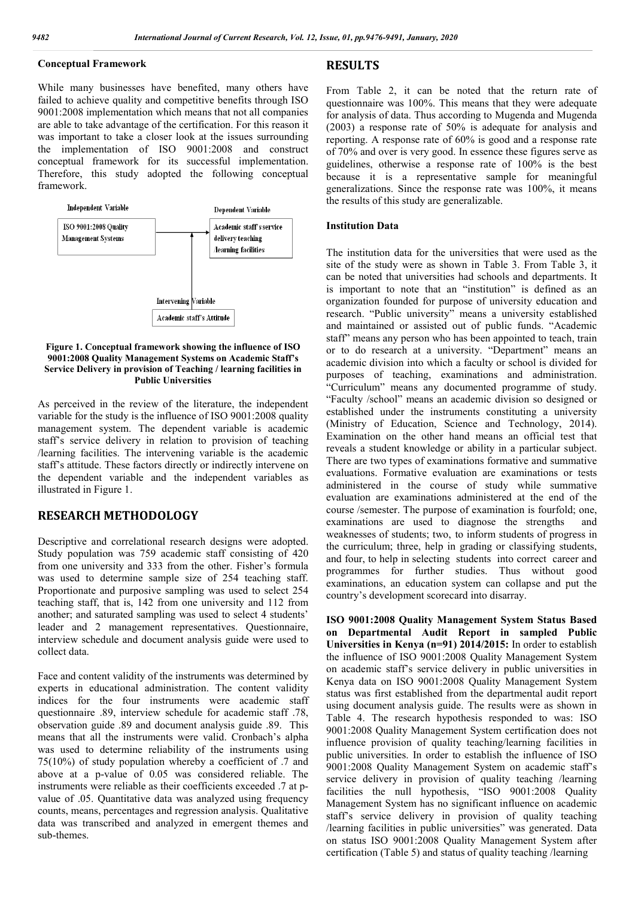# **Conceptual Framework**

While many businesses have benefited, many others have failed to achieve quality and competitive benefits through ISO 9001:2008 implementation which means that not all companies are able to take advantage of the certification. For this reason it was important to take a closer look at the issues surrounding the implementation of ISO 9001:2008 and construct conceptual framework for its successful implementation. Therefore, this study adopted the following conceptual framework.



**Figure 1. Conceptual framework showing the influence of ISO 9001:2008 Quality Management Systems on Academic Staff's Service Delivery in provision of Teaching / learning facilities in Public Universities**

As perceived in the review of the literature, the independent variable for the study is the influence of ISO 9001:2008 quality management system. The dependent variable is academic staff's service delivery in relation to provision of teaching /learning facilities. The intervening variable is the academic staff's attitude. These factors directly or indirectly intervene on the dependent variable and the independent variables as illustrated in Figure 1.

# **RESEARCH METHODOLOGY**

Descriptive and correlational research designs were adopted. Study population was 759 academic staff consisting of 420 from one university and 333 from the other. Fisher's formula was used to determine sample size of 254 teaching staff. Proportionate and purposive sampling was used to select 254 teaching staff, that is, 142 from one university and 112 from another; and saturated sampling was used to select 4 students' leader and 2 management representatives. Questionnaire, interview schedule and document analysis guide were used to collect data.

Face and content validity of the instruments was determined by experts in educational administration. The content validity indices for the four instruments were academic staff questionnaire .89, interview schedule for academic staff .78, observation guide .89 and document analysis guide .89. This means that all the instruments were valid. Cronbach's alpha was used to determine reliability of the instruments using 75(10%) of study population whereby a coefficient of .7 and above at a p-value of 0.05 was considered reliable. The instruments were reliable as their coefficients exceeded .7 at pvalue of .05. Quantitative data was analyzed using frequency counts, means, percentages and regression analysis. Qualitative data was transcribed and analyzed in emergent themes and sub-themes.

## **RESULTS**

From Table 2, it can be noted that the return rate of questionnaire was 100%. This means that they were adequate for analysis of data. Thus according to Mugenda and Mugenda (2003) a response rate of 50% is adequate for analysis and reporting. A response rate of 60% is good and a response rate of 70% and over is very good. In essence these figures serve as guidelines, otherwise a response rate of 100% is the best because it is a representative sample for meaningful generalizations. Since the response rate was 100%, it means the results of this study are generalizable.

#### **Institution Data**

The institution data for the universities that were used as the site of the study were as shown in Table 3. From Table 3, it can be noted that universities had schools and departments. It is important to note that an "institution" is defined as an organization founded for purpose of university education and research. "Public university" means a university established and maintained or assisted out of public funds. "Academic staff" means any person who has been appointed to teach, train or to do research at a university. "Department" means an academic division into which a faculty or school is divided for purposes of teaching, examinations and administration. "Curriculum" means any documented programme of study. "Faculty /school" means an academic division so designed or established under the instruments constituting a university (Ministry of Education, Science and Technology, 2014). Examination on the other hand means an official test that reveals a student knowledge or ability in a particular subject. There are two types of examinations formative and summative evaluations. Formative evaluation are examinations or tests administered in the course of study while summative evaluation are examinations administered at the end of the course /semester. The purpose of examination is fourfold; one, examinations are used to diagnose the strengths and weaknesses of students; two, to inform students of progress in the curriculum; three, help in grading or classifying students, and four, to help in selecting students into correct career and programmes for further studies. Thus without good examinations, an education system can collapse and put the country's development scorecard into disarray.

**ISO 9001:2008 Quality Management System Status Based on Departmental Audit Report in sampled Public Universities in Kenya (n=91) 2014/2015:** In order to establish the influence of ISO 9001:2008 Quality Management System on academic staff's service delivery in public universities in Kenya data on ISO 9001:2008 Quality Management System status was first established from the departmental audit report using document analysis guide. The results were as shown in Table 4. The research hypothesis responded to was: ISO 9001:2008 Quality Management System certification does not influence provision of quality teaching/learning facilities in public universities. In order to establish the influence of ISO 9001:2008 Quality Management System on academic staff's service delivery in provision of quality teaching /learning facilities the null hypothesis, "ISO 9001:2008 Quality Management System has no significant influence on academic staff's service delivery in provision of quality teaching /learning facilities in public universities" was generated. Data on status ISO 9001:2008 Quality Management System after certification (Table 5) and status of quality teaching /learning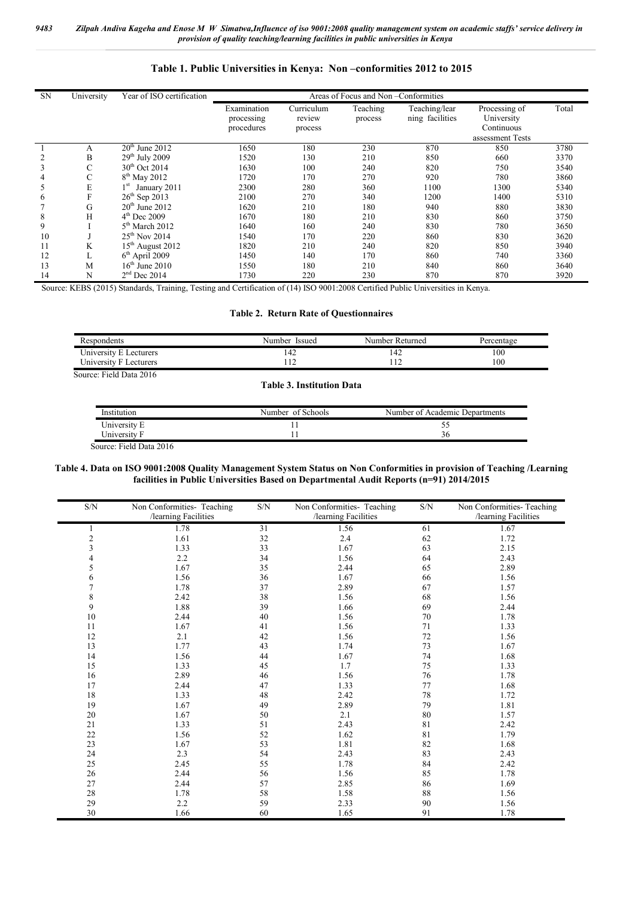# **Table 1. Public Universities in Kenya: Non –conformities 2012 to 2015**

| <b>SN</b> | University | Year of ISO certification       | Areas of Focus and Non-Conformities |            |          |                 |                  |       |  |
|-----------|------------|---------------------------------|-------------------------------------|------------|----------|-----------------|------------------|-------|--|
|           |            |                                 | Examination                         | Curriculum | Teaching | Teaching/lear   | Processing of    | Total |  |
|           |            |                                 | processing                          | review     | process  | ning facilities | University       |       |  |
|           |            |                                 | procedures                          | process    |          |                 | Continuous       |       |  |
|           |            |                                 |                                     |            |          |                 | assessment Tests |       |  |
|           | А          | $20th$ June 2012                | 1650                                | 180        | 230      | 870             | 850              | 3780  |  |
|           | B          | $29th$ July 2009                | 1520                                | 130        | 210      | 850             | 660              | 3370  |  |
| 3         | Ċ          | $30th$ Oct 2014                 | 1630                                | 100        | 240      | 820             | 750              | 3540  |  |
| 4         | С          | $8th$ May 2012                  | 1720                                | 170        | 270      | 920             | 780              | 3860  |  |
|           | E          | January 2011<br>1 <sup>st</sup> | 2300                                | 280        | 360      | 1100            | 1300             | 5340  |  |
| 6         | F          | $26^{th}$ Sep 2013              | 2100                                | 270        | 340      | 1200            | 1400             | 5310  |  |
|           | G          | $20th$ June 2012                | 1620                                | 210        | 180      | 940             | 880              | 3830  |  |
| 8         | H          | $4th$ Dec 2009                  | 1670                                | 180        | 210      | 830             | 860              | 3750  |  |
| 9         |            | $5th$ March 2012                | 1640                                | 160        | 240      | 830             | 780              | 3650  |  |
| 10        |            | $25^{th}$ Nov 2014              | 1540                                | 170        | 220      | 860             | 830              | 3620  |  |
| 11        | K          | $15th$ August 2012              | 1820                                | 210        | 240      | 820             | 850              | 3940  |  |
| 12        |            | $6th$ April 2009                | 1450                                | 140        | 170      | 860             | 740              | 3360  |  |
| 13        | M          | $16th$ June 2010                | 1550                                | 180        | 210      | 840             | 860              | 3640  |  |
| 14        | N          | $2nd$ Dec 2014                  | 1730                                | 220        | 230      | 870             | 870              | 3920  |  |

Source: KEBS (2015) Standards, Training, Testing and Certification of (14) ISO 9001:2008 Certified Public Universities in Kenya.

### **Table 2. Return Rate of Questionnaires**

| Respondents            | Number Issued | Number Returned | Percentage |
|------------------------|---------------|-----------------|------------|
| University E Lecturers | 142           |                 | l 00       |
| University F Lecturers |               |                 | l 00       |

Source: Field Data 2016

**Table 3. Institution Data**

| Institution  | Number of Schools | Number of Academic Departments |
|--------------|-------------------|--------------------------------|
| University E |                   | ັ້                             |
| University F |                   |                                |
| $\sim$       |                   |                                |

Source: Field Data 2016

#### **Table 4. Data on ISO 9001:2008 Quality Management System Status on Non Conformities in provision of Teaching /Learning facilities in Public Universities Based on Departmental Audit Reports (n=91) 2014/2015**

| $\ensuremath{\mathrm{S/N}}$ | Non Conformities- Teaching | $\ensuremath{\mathrm{S/N}}$ | Non Conformities- Teaching | $\ensuremath{\mathrm{S/N}}$ | Non Conformities- Teaching |
|-----------------------------|----------------------------|-----------------------------|----------------------------|-----------------------------|----------------------------|
|                             | /learning Facilities       |                             | /learning Facilities       |                             | /learning Facilities       |
|                             | 1.78                       | 31                          | 1.56                       | 61                          | 1.67                       |
| $\overline{c}$              | 1.61                       | 32                          | 2.4                        | 62                          | 1.72                       |
| 3                           | 1.33                       | 33                          | 1.67                       | 63                          | 2.15                       |
| 4                           | 2.2                        | 34                          | 1.56                       | 64                          | 2.43                       |
| 5                           | 1.67                       | 35                          | 2.44                       | 65                          | 2.89                       |
| 6                           | 1.56                       | 36                          | 1.67                       | 66                          | 1.56                       |
| $\overline{7}$              | 1.78                       | 37                          | 2.89                       | 67                          | 1.57                       |
| 8                           | 2.42                       | 38                          | 1.56                       | 68                          | 1.56                       |
| 9                           | 1.88                       | 39                          | 1.66                       | 69                          | 2.44                       |
| 10                          | 2.44                       | 40                          | 1.56                       | 70                          | 1.78                       |
| 11                          | 1.67                       | 41                          | 1.56                       | 71                          | 1.33                       |
| 12                          | 2.1                        | 42                          | 1.56                       | 72                          | 1.56                       |
| 13                          | 1.77                       | 43                          | 1.74                       | 73                          | 1.67                       |
| 14                          | 1.56                       | 44                          | 1.67                       | 74                          | 1.68                       |
| 15                          | 1.33                       | 45                          | 1.7                        | 75                          | 1.33                       |
| 16                          | 2.89                       | 46                          | 1.56                       | 76                          | 1.78                       |
| 17                          | 2.44                       | 47                          | 1.33                       | 77                          | 1.68                       |
| 18                          | 1.33                       | 48                          | 2.42                       | 78                          | 1.72                       |
| 19                          | 1.67                       | 49                          | 2.89                       | 79                          | 1.81                       |
| 20                          | 1.67                       | 50                          | 2.1                        | 80                          | 1.57                       |
| 21                          | 1.33                       | 51                          | 2.43                       | 81                          | 2.42                       |
| $22\,$                      | 1.56                       | 52                          | 1.62                       | 81                          | 1.79                       |
| 23                          | 1.67                       | 53                          | 1.81                       | 82                          | 1.68                       |
| 24                          | 2.3                        | 54                          | 2.43                       | 83                          | 2.43                       |
| 25                          | 2.45                       | 55                          | 1.78                       | 84                          | 2.42                       |
| 26                          | 2.44                       | 56                          | 1.56                       | 85                          | 1.78                       |
| 27                          | 2.44                       | 57                          | 2.85                       | 86                          | 1.69                       |
| 28                          | 1.78                       | 58                          | 1.58                       | 88                          | 1.56                       |
| 29                          | 2.2                        | 59                          | 2.33                       | 90                          | 1.56                       |
| 30                          | 1.66                       | 60                          | 1.65                       | 91                          | 1.78                       |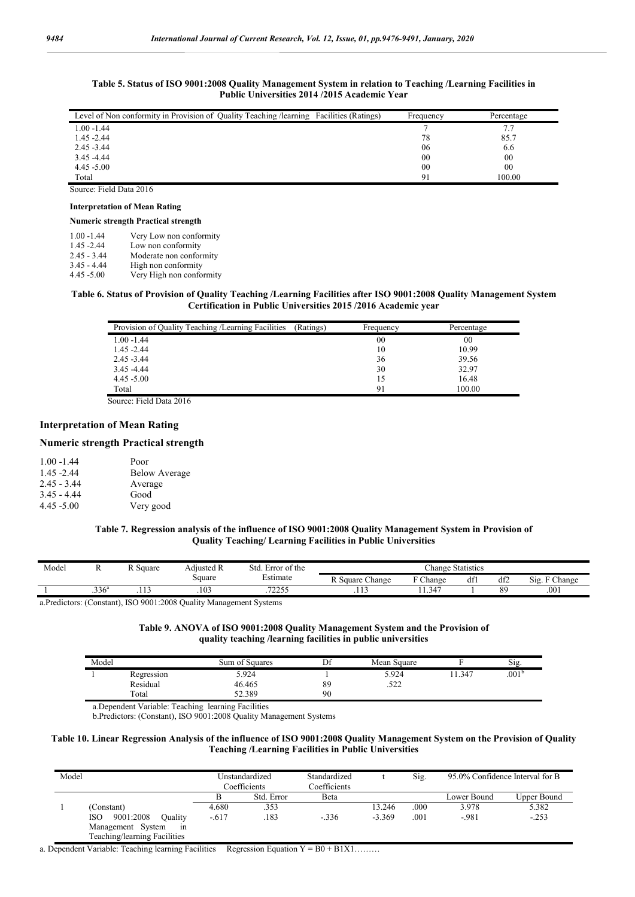| Table 5. Status of ISO 9001:2008 Quality Management System in relation to Teaching /Learning Facilities in |  |
|------------------------------------------------------------------------------------------------------------|--|
| <b>Public Universities 2014/2015 Academic Year</b>                                                         |  |

| Level of Non conformity in Provision of Quality Teaching / learning Facilities (Ratings) | Frequency | Percentage |
|------------------------------------------------------------------------------------------|-----------|------------|
| $1.00 - 1.44$                                                                            |           |            |
| $1.45 - 2.44$                                                                            | 78        | 85.7       |
| $2.45 - 3.44$                                                                            | 06        | 6.6        |
| $3.45 - 4.44$                                                                            | 00        | 00         |
| $4.45 - 5.00$                                                                            | 00        | 00         |
| Total                                                                                    | 91        | 100.00     |

Source: Field Data 2016

# **Interpretation of Mean Rating**

#### **Numeric strength Practical strength**

| $1.00 - 1.44$ | Very Low non conformity  |
|---------------|--------------------------|
| $1.45 - 2.44$ | Low non conformity       |
| $2.45 - 3.44$ | Moderate non conformity  |
| $3.45 - 4.44$ | High non conformity      |
| $4.45 - 5.00$ | Very High non conformity |

#### **Table 6. Status of Provision of Quality Teaching /Learning Facilities after ISO 9001:2008 Quality Management System Certification in Public Universities 2015 /2016 Academic year**

| Provision of Quality Teaching /Learning Facilities | (Ratings) | Frequency | Percentage |
|----------------------------------------------------|-----------|-----------|------------|
| $1.00 - 1.44$                                      |           | 00        | 00         |
| $1.45 - 2.44$                                      |           | 10        | 10.99      |
| $2.45 - 3.44$                                      |           | 36        | 39.56      |
| $3.45 - 4.44$                                      |           | 30        | 32.97      |
| $4.45 - 5.00$                                      |           | 15        | 16.48      |
| Total                                              |           | 91        | 100.00     |

Source: Field Data 2016

# **Interpretation of Mean Rating**

## **Numeric strength Practical strength**

| $1.00 - 1.44$ | Poor                 |
|---------------|----------------------|
| $1.45 - 2.44$ | <b>Below Average</b> |
| $2.45 - 3.44$ | Average              |
| $3.45 - 4.44$ | Good                 |
| $4.45 - 5.00$ | Very good            |

### **Table 7. Regression analysis of the influence of ISO 9001:2008 Quality Management System in Provision of Quality Teaching/ Learning Facilities in Public Universities**

| Model | л                 | $\sim$<br>R Square | -<br>Adjusted R | . Error of the<br>Std.   |                          | Change Statistics |     |     |                            |
|-------|-------------------|--------------------|-----------------|--------------------------|--------------------------|-------------------|-----|-----|----------------------------|
|       |                   |                    | Square          | $\mathbf{m}$<br>±stımate | DC<br>Change<br>R Square | $\sim$<br>hange:  | df! | df2 | $Si2$ .<br>$\Gamma$ Change |
|       | .336 <sup>a</sup> | $\cdots$           | .103            | 72255<br>.               | .                        | 11.347            |     | 89  | .001                       |

a.Predictors: (Constant), ISO 9001:2008 Quality Management Systems

| Table 9. ANOVA of ISO 9001:2008 Quality Management System and the Provision of |
|--------------------------------------------------------------------------------|
| quality teaching / learning facilities in public universities                  |

| Model |            | Sum of Squares | Df | Mean Square   |      | Sig.           |
|-------|------------|----------------|----|---------------|------|----------------|
|       | Regression | 5.924          |    | 5.924         | .347 | $.001^{\circ}$ |
|       | Residual   | 46.465         | 89 | 500<br>ے بے د |      |                |
|       | Total      | 52.389         | 90 |               |      |                |

a.Dependent Variable: Teaching learning Facilities

b.Predictors: (Constant), ISO 9001:2008 Quality Management Systems

#### **Table 10. Linear Regression Analysis of the influence of ISO 9001:2008 Quality Management System on the Provision of Quality Teaching /Learning Facilities in Public Universities**

| Model                        |         | Unstandardized<br>Coefficients | Standardized<br>Coefficients |          | Sig. | 95.0% Confidence Interval for B |             |
|------------------------------|---------|--------------------------------|------------------------------|----------|------|---------------------------------|-------------|
|                              |         | Std. Error                     | Beta                         |          |      | Lower Bound                     | Upper Bound |
| (Constant)                   | 4.680   | .353                           |                              | 13.246   | .000 | 3.978                           | 5.382       |
| 9001:2008<br>Ouality<br>ISO. | $-.617$ | .183                           | $-.336$                      | $-3.369$ | .001 | $-0.981$                        | $-.253$     |
| Management System<br>1n      |         |                                |                              |          |      |                                 |             |
| Teaching/learning Facilities |         |                                |                              |          |      |                                 |             |

a. Dependent Variable: Teaching learning Facilities Regression Equation  $Y = B0 + B1X1$ ........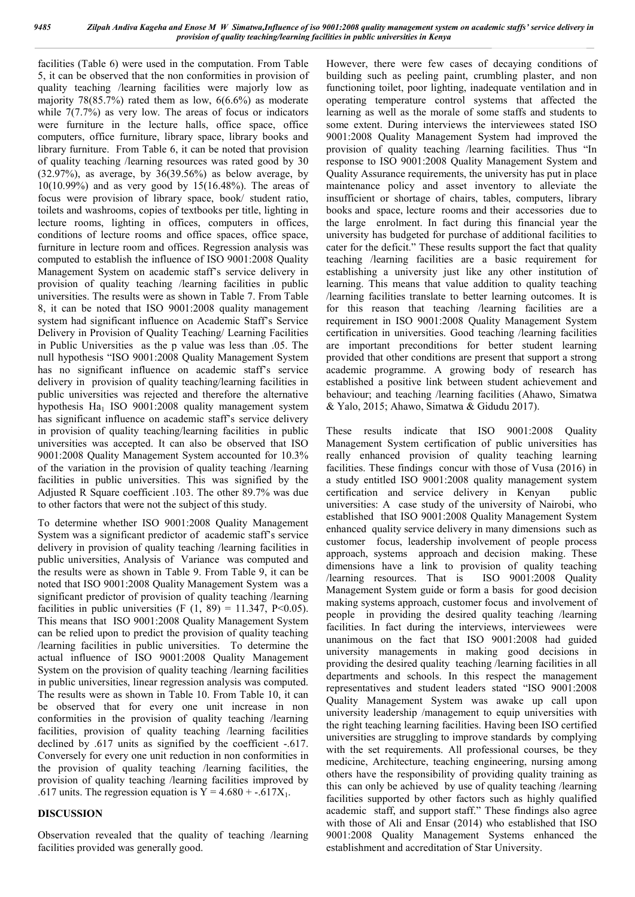facilities (Table 6) were used in the computation. From Table 5, it can be observed that the non conformities in provision of quality teaching /learning facilities were majorly low as majority 78(85.7%) rated them as low, 6(6.6%) as moderate while  $7(7.7%)$  as very low. The areas of focus or indicators were furniture in the lecture halls, office space, office computers, office furniture, library space, library books and library furniture. From Table 6, it can be noted that provision of quality teaching /learning resources was rated good by 30  $(32.97%)$ , as average, by  $36(39.56%)$  as below average, by 10(10.99%) and as very good by 15(16.48%). The areas of focus were provision of library space, book/ student ratio, toilets and washrooms, copies of textbooks per title, lighting in lecture rooms, lighting in offices, computers in offices, conditions of lecture rooms and office spaces, office space, furniture in lecture room and offices. Regression analysis was computed to establish the influence of ISO 9001:2008 Quality Management System on academic staff's service delivery in provision of quality teaching /learning facilities in public universities. The results were as shown in Table 7. From Table 8, it can be noted that ISO 9001:2008 quality management system had significant influence on Academic Staff's Service Delivery in Provision of Quality Teaching/ Learning Facilities in Public Universities as the p value was less than .05. The null hypothesis "ISO 9001:2008 Quality Management System has no significant influence on academic staff's service delivery in provision of quality teaching/learning facilities in public universities was rejected and therefore the alternative hypothesis Ha<sub>1</sub> ISO 9001:2008 quality management system has significant influence on academic staff's service delivery in provision of quality teaching/learning facilities in public universities was accepted. It can also be observed that ISO 9001:2008 Quality Management System accounted for 10.3% of the variation in the provision of quality teaching /learning facilities in public universities. This was signified by the Adjusted R Square coefficient .103. The other 89.7% was due to other factors that were not the subject of this study.

To determine whether ISO 9001:2008 Quality Management System was a significant predictor of academic staff's service delivery in provision of quality teaching /learning facilities in public universities, Analysis of Variance was computed and the results were as shown in Table 9. From Table 9, it can be noted that ISO 9001:2008 Quality Management System was a significant predictor of provision of quality teaching /learning facilities in public universities (F  $(1, 89) = 11.347$ , P<0.05). This means that ISO 9001:2008 Quality Management System can be relied upon to predict the provision of quality teaching /learning facilities in public universities. To determine the actual influence of ISO 9001:2008 Quality Management System on the provision of quality teaching /learning facilities in public universities, linear regression analysis was computed. The results were as shown in Table 10. From Table 10, it can be observed that for every one unit increase in non conformities in the provision of quality teaching /learning facilities, provision of quality teaching /learning facilities declined by .617 units as signified by the coefficient -.617. Conversely for every one unit reduction in non conformities in the provision of quality teaching /learning facilities, the provision of quality teaching /learning facilities improved by .617 units. The regression equation is  $Y = 4.680 + .617X_1$ .

## **DISCUSSION**

Observation revealed that the quality of teaching /learning facilities provided was generally good.

However, there were few cases of decaying conditions of building such as peeling paint, crumbling plaster, and non functioning toilet, poor lighting, inadequate ventilation and in operating temperature control systems that affected the learning as well as the morale of some staffs and students to some extent. During interviews the interviewees stated ISO 9001:2008 Quality Management System had improved the provision of quality teaching /learning facilities. Thus "In response to ISO 9001:2008 Quality Management System and Quality Assurance requirements, the university has put in place maintenance policy and asset inventory to alleviate the insufficient or shortage of chairs, tables, computers, library books and space, lecture rooms and their accessories due to the large enrolment. In fact during this financial year the university has budgeted for purchase of additional facilities to cater for the deficit." These results support the fact that quality teaching /learning facilities are a basic requirement for establishing a university just like any other institution of learning. This means that value addition to quality teaching /learning facilities translate to better learning outcomes. It is for this reason that teaching /learning facilities are a requirement in ISO 9001:2008 Quality Management System certification in universities. Good teaching /learning facilities are important preconditions for better student learning provided that other conditions are present that support a strong academic programme. A growing body of research has established a positive link between student achievement and behaviour; and teaching /learning facilities (Ahawo, Simatwa & Yalo, 2015; Ahawo, Simatwa & Gidudu 2017).

These results indicate that ISO 9001:2008 Quality Management System certification of public universities has really enhanced provision of quality teaching learning facilities. These findings concur with those of Vusa (2016) in a study entitled ISO 9001:2008 quality management system certification and service delivery in Kenyan public universities: A case study of the university of Nairobi, who established that ISO 9001:2008 Quality Management System enhanced quality service delivery in many dimensions such as customer focus, leadership involvement of people process approach, systems approach and decision making. These dimensions have a link to provision of quality teaching /learning resources. That is ISO 9001:2008 Quality Management System guide or form a basis for good decision making systems approach, customer focus and involvement of people in providing the desired quality teaching /learning facilities. In fact during the interviews, interviewees were unanimous on the fact that ISO 9001:2008 had guided university managements in making good decisions in providing the desired quality teaching /learning facilities in all departments and schools. In this respect the management representatives and student leaders stated "ISO 9001:2008 Quality Management System was awake up call upon university leadership /management to equip universities with the right teaching learning facilities. Having been ISO certified universities are struggling to improve standards by complying with the set requirements. All professional courses, be they medicine, Architecture, teaching engineering, nursing among others have the responsibility of providing quality training as this can only be achieved by use of quality teaching /learning facilities supported by other factors such as highly qualified academic staff, and support staff." These findings also agree with those of Ali and Ensar (2014) who established that ISO 9001:2008 Quality Management Systems enhanced the establishment and accreditation of Star University.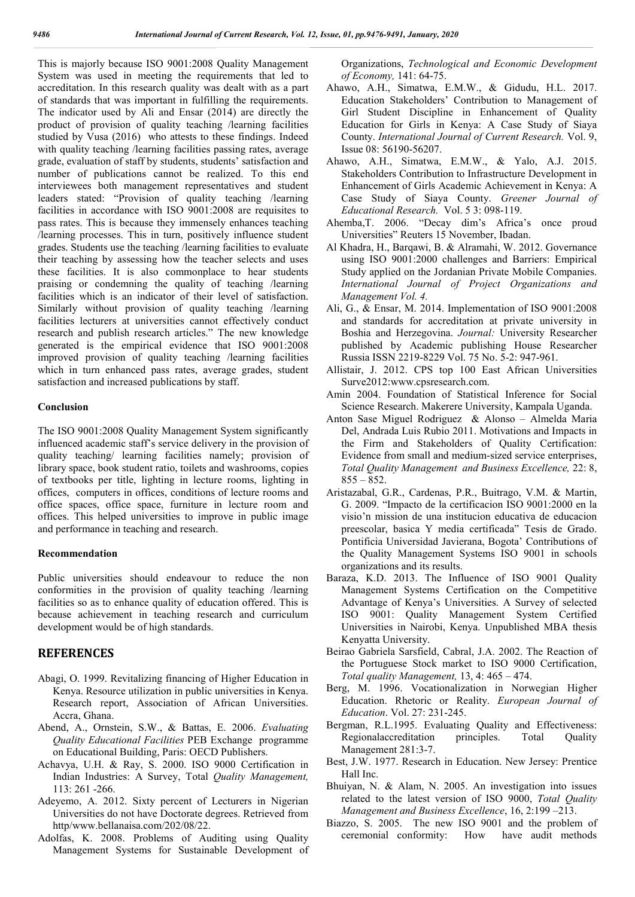This is majorly because ISO 9001:2008 Quality Management System was used in meeting the requirements that led to accreditation. In this research quality was dealt with as a part of standards that was important in fulfilling the requirements. The indicator used by Ali and Ensar (2014) are directly the product of provision of quality teaching /learning facilities studied by Vusa (2016) who attests to these findings. Indeed with quality teaching /learning facilities passing rates, average grade, evaluation of staff by students, students' satisfaction and number of publications cannot be realized. To this end interviewees both management representatives and student leaders stated: "Provision of quality teaching /learning facilities in accordance with ISO 9001:2008 are requisites to pass rates. This is because they immensely enhances teaching /learning processes. This in turn, positively influence student grades. Students use the teaching /learning facilities to evaluate their teaching by assessing how the teacher selects and uses these facilities. It is also commonplace to hear students praising or condemning the quality of teaching /learning facilities which is an indicator of their level of satisfaction. Similarly without provision of quality teaching /learning facilities lecturers at universities cannot effectively conduct research and publish research articles." The new knowledge generated is the empirical evidence that ISO 9001:2008 improved provision of quality teaching /learning facilities which in turn enhanced pass rates, average grades, student satisfaction and increased publications by staff.

#### **Conclusion**

The ISO 9001:2008 Quality Management System significantly influenced academic staff's service delivery in the provision of quality teaching/ learning facilities namely; provision of library space, book student ratio, toilets and washrooms, copies of textbooks per title, lighting in lecture rooms, lighting in offices, computers in offices, conditions of lecture rooms and office spaces, office space, furniture in lecture room and offices. This helped universities to improve in public image and performance in teaching and research.

#### **Recommendation**

Public universities should endeavour to reduce the non conformities in the provision of quality teaching /learning facilities so as to enhance quality of education offered. This is because achievement in teaching research and curriculum development would be of high standards.

## **REFERENCES**

- Abagi, O. 1999. Revitalizing financing of Higher Education in Kenya. Resource utilization in public universities in Kenya. Research report, Association of African Universities. Accra, Ghana.
- Abend, A., Ornstein, S.W., & Battas, E. 2006. *Evaluating Quality Educational Facilities* PEB Exchange programme on Educational Building, Paris: OECD Publishers.
- Achavya, U.H. & Ray, S. 2000. ISO 9000 Certification in Indian Industries: A Survey, Total *Quality Management,*  113: 261 -266.
- Adeyemo, A. 2012. Sixty percent of Lecturers in Nigerian Universities do not have Doctorate degrees. Retrieved from http/www.bellanaisa.com/202/08/22.
- Adolfas, K. 2008. Problems of Auditing using Quality Management Systems for Sustainable Development of

Organizations, *Technological and Economic Development of Economy,* 141: 64-75.

- Ahawo, A.H., Simatwa, E.M.W., & Gidudu, H.L. 2017. Education Stakeholders' Contribution to Management of Girl Student Discipline in Enhancement of Quality Education for Girls in Kenya: A Case Study of Siaya County. *International Journal of Current Research.* Vol. 9, Issue 08: 56190-56207.
- Ahawo, A.H., Simatwa, E.M.W., & Yalo, A.J. 2015. Stakeholders Contribution to Infrastructure Development in Enhancement of Girls Academic Achievement in Kenya: A Case Study of Siaya County. *Greener Journal of Educational Research.* Vol. 5 3: 098-119.
- Ahemba,T. 2006. "Decay dim's Africa's once proud Universities" Reuters 15 November, Ibadan.
- Al Khadra, H., Barqawi, B. & Alramahi, W. 2012. Governance using ISO 9001:2000 challenges and Barriers: Empirical Study applied on the Jordanian Private Mobile Companies. *International Journal of Project Organizations and Management Vol. 4.*
- Ali, G., & Ensar, M. 2014. Implementation of ISO 9001:2008 and standards for accreditation at private university in Boshia and Herzegovina. *Journal:* University Researcher published by Academic publishing House Researcher Russia ISSN 2219-8229 Vol. 75 No. 5-2: 947-961.
- Allistair, J. 2012. CPS top 100 East African Universities Surve2012:www.cpsresearch.com.
- Amin 2004. Foundation of Statistical Inference for Social Science Research. Makerere University, Kampala Uganda.
- Anton Sase Miguel Rodriguez & Alonso Almelda Maria Del, Andrada Luis Rubio 2011. Motivations and Impacts in the Firm and Stakeholders of Quality Certification: Evidence from small and medium-sized service enterprises, *Total Quality Management and Business Excellence,* 22: 8,  $855 - 852.$
- Aristazabal, G.R., Cardenas, P.R., Buitrago, V.M. & Martin, G. 2009. "Impacto de la certificacion ISO 9001:2000 en la visio'n mission de una institucion educativa de educacion preescolar, basica Y media certificada" Tesis de Grado. Pontificia Universidad Javierana, Bogota' Contributions of the Quality Management Systems ISO 9001 in schools organizations and its results.
- Baraza, K.D. 2013. The Influence of ISO 9001 Quality Management Systems Certification on the Competitive Advantage of Kenya's Universities. A Survey of selected ISO 9001: Quality Management System Certified Universities in Nairobi, Kenya. Unpublished MBA thesis Kenyatta University.
- Beirao Gabriela Sarsfield, Cabral, J.A. 2002. The Reaction of the Portuguese Stock market to ISO 9000 Certification, *Total quality Management,* 13, 4: 465 – 474.
- Berg, M. 1996. Vocationalization in Norwegian Higher Education. Rhetoric or Reality. *European Journal of Education*. Vol. 27: 231-245.
- Bergman, R.L.1995. Evaluating Quality and Effectiveness: Regionalaccreditation principles. Total Quality Management 281:3-7.
- Best, J.W. 1977. Research in Education. New Jersey: Prentice Hall Inc.
- Bhuiyan, N. & Alam, N. 2005. An investigation into issues related to the latest version of ISO 9000, *Total Quality Management and Business Excellence*, 16, 2:199 –213.
- Biazzo, S. 2005. The new ISO 9001 and the problem of ceremonial conformity: How have audit methods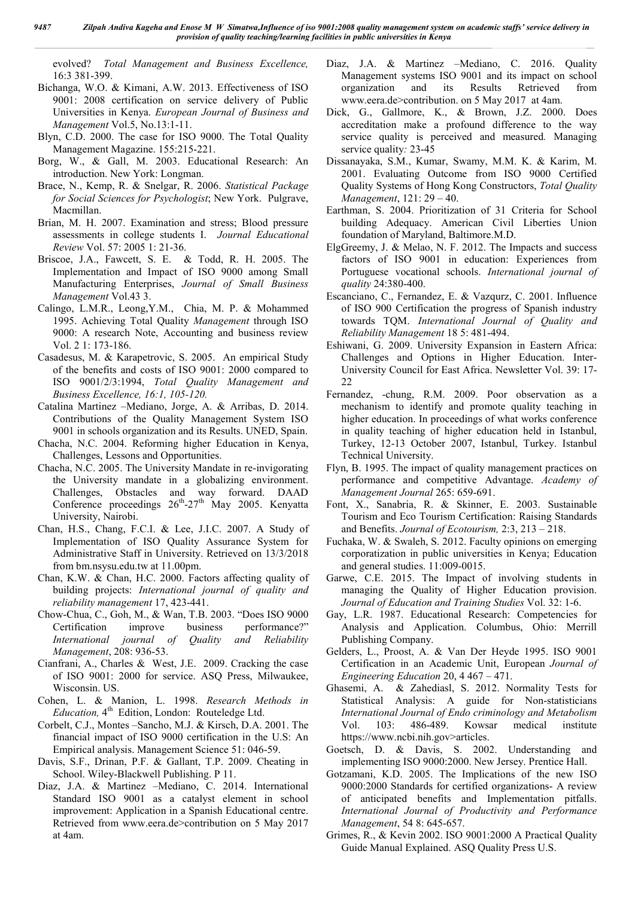evolved? *Total Management and Business Excellence,*  16:3 381-399.

- Bichanga, W.O. & Kimani, A.W. 2013. Effectiveness of ISO 9001: 2008 certification on service delivery of Public Universities in Kenya. *European Journal of Business and Management* Vol.5, No.13:1-11.
- Blyn, C.D. 2000. The case for ISO 9000. The Total Quality Management Magazine. 155:215-221.
- Borg, W., & Gall, M. 2003. Educational Research: An introduction. New York: Longman.
- Brace, N., Kemp, R. & Snelgar, R. 2006. *Statistical Package for Social Sciences for Psychologist*; New York. Pulgrave, Macmillan.
- Brian, M. H. 2007. Examination and stress; Blood pressure assessments in college students I. *Journal Educational Review* Vol. 57: 2005 1: 21-36.
- Briscoe, J.A., Fawcett, S. E. & Todd, R. H. 2005. The Implementation and Impact of ISO 9000 among Small Manufacturing Enterprises, *Journal of Small Business Management* Vol.43 3.
- Calingo, L.M.R., Leong,Y.M., Chia, M. P. & Mohammed 1995. Achieving Total Quality *Management* through ISO 9000: A research Note, Accounting and business review Vol. 2 1: 173-186.
- Casadesus, M. & Karapetrovic, S. 2005. An empirical Study of the benefits and costs of ISO 9001: 2000 compared to ISO 9001/2/3:1994, *Total Quality Management and Business Excellence, 16:1, 105-120.*
- Catalina Martinez –Mediano, Jorge, A. & Arribas, D. 2014. Contributions of the Quality Management System ISO 9001 in schools organization and its Results. UNED, Spain.
- Chacha, N.C. 2004. Reforming higher Education in Kenya, Challenges, Lessons and Opportunities.
- Chacha, N.C. 2005. The University Mandate in re-invigorating the University mandate in a globalizing environment. Challenges, Obstacles and way forward. DAAD Conference proceedings  $26^{\text{th}}-27^{\text{th}}$  May 2005. Kenyatta University, Nairobi.
- Chan, H.S., Chang, F.C.I. & Lee, J.I.C. 2007. A Study of Implementation of ISO Quality Assurance System for Administrative Staff in University. Retrieved on 13/3/2018 from bm.nsysu.edu.tw at 11.00pm.
- Chan, K.W. & Chan, H.C. 2000. Factors affecting quality of building projects: *International journal of quality and reliability management* 17, 423-441.
- Chow-Chua, C., Goh, M., & Wan, T.B. 2003. "Does ISO 9000 Certification improve business performance?" *International journal of Quality and Reliability Management*, 208: 936-53.
- Cianfrani, A., Charles & West, J.E. 2009. Cracking the case of ISO 9001: 2000 for service. ASQ Press, Milwaukee, Wisconsin. US.
- Cohen, L. & Manion, L. 1998. *Research Methods in Education*, 4<sup>th</sup> Edition, London: Routeledge Ltd.
- Corbelt, C.J., Montes –Sancho, M.J. & Kirsch, D.A. 2001. The financial impact of ISO 9000 certification in the U.S: An Empirical analysis. Management Science 51: 046-59.
- Davis, S.F., Drinan, P.F. & Gallant, T.P. 2009. Cheating in School. Wiley-Blackwell Publishing. P 11.
- Diaz, J.A. & Martinez –Mediano, C. 2014. International Standard ISO 9001 as a catalyst element in school improvement: Application in a Spanish Educational centre. Retrieved from www.eera.de>contribution on 5 May 2017 at 4am.
- Diaz, J.A. & Martinez –Mediano, C. 2016. Quality Management systems ISO 9001 and its impact on school organization and its Results Retrieved from www.eera.de>contribution. on 5 May 2017 at 4am.
- Dick, G., Gallmore, K., & Brown, J.Z. 2000. Does accreditation make a profound difference to the way service quality is perceived and measured*.* Managing service quality*:* 23-45
- Dissanayaka, S.M., Kumar, Swamy, M.M. K. & Karim, M. 2001. Evaluating Outcome from ISO 9000 Certified Quality Systems of Hong Kong Constructors, *Total Quality Management*, 121: 29 – 40.
- Earthman, S. 2004. Prioritization of 31 Criteria for School building Adequacy. American Civil Liberties Union foundation of Maryland, Baltimore.M.D.
- ElgGreemy, J. & Melao, N. F. 2012. The Impacts and success factors of ISO 9001 in education: Experiences from Portuguese vocational schools. *International journal of quality* 24:380-400.
- Escanciano, C., Fernandez, E. & Vazqurz, C. 2001. Influence of ISO 900 Certification the progress of Spanish industry towards TQM. *International Journal of Quality and Reliability Management* 18 5: 481-494.
- Eshiwani, G. 2009. University Expansion in Eastern Africa: Challenges and Options in Higher Education. Inter-University Council for East Africa. Newsletter Vol. 39: 17- 22
- Fernandez, -chung, R.M. 2009. Poor observation as a mechanism to identify and promote quality teaching in higher education. In proceedings of what works conference in quality teaching of higher education held in Istanbul, Turkey, 12-13 October 2007, Istanbul, Turkey. Istanbul Technical University.
- Flyn, B. 1995. The impact of quality management practices on performance and competitive Advantage. *Academy of Management Journal* 265: 659-691.
- Font, X., Sanabria, R. & Skinner, E. 2003. Sustainable Tourism and Eco Tourism Certification: Raising Standards and Benefits. *Journal of Ecotourism,* 2:3, 213 – 218.
- Fuchaka, W. & Swaleh, S. 2012. Faculty opinions on emerging corporatization in public universities in Kenya; Education and general studies. 11:009-0015.
- Garwe, C.E. 2015. The Impact of involving students in managing the Quality of Higher Education provision. *Journal of Education and Training Studies* Vol. 32: 1-6.
- Gay, L.R. 1987. Educational Research: Competencies for Analysis and Application. Columbus, Ohio: Merrill Publishing Company.
- Gelders, L., Proost, A. & Van Der Heyde 1995. ISO 9001 Certification in an Academic Unit, European *Journal of Engineering Education* 20, 4 467 – 471.
- Ghasemi, A. & Zahediasl, S. 2012. Normality Tests for Statistical Analysis: A guide for Non-statisticians *International Journal of Endo criminology and Metabolism*  Vol. 103: 486-489. Kowsar medical institute https://www.ncbi.nih.gov>articles.
- Goetsch, D. & Davis, S. 2002. Understanding and implementing ISO 9000:2000. New Jersey. Prentice Hall.
- Gotzamani, K.D. 2005. The Implications of the new ISO 9000:2000 Standards for certified organizations- A review of anticipated benefits and Implementation pitfalls. *International Journal of Productivity and Performance Management*, 54 8: 645-657.
- Grimes, R., & Kevin 2002. ISO 9001:2000 A Practical Quality Guide Manual Explained. ASQ Quality Press U.S.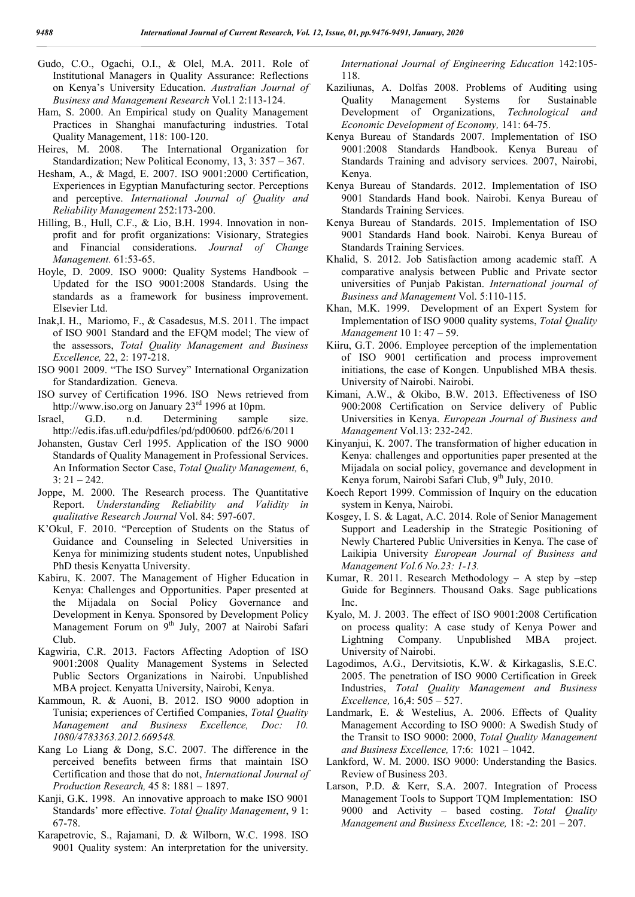- Gudo, C.O., Ogachi, O.I., & Olel, M.A. 2011. Role of Institutional Managers in Quality Assurance: Reflections on Kenya's University Education. *Australian Journal of Business and Management Research* Vol.1 2:113-124.
- Ham, S. 2000. An Empirical study on Quality Management Practices in Shanghai manufacturing industries. Total Quality Management, 118: 100-120.
- Heires, M. 2008. The International Organization for Standardization; New Political Economy, 13, 3: 357 – 367.
- Hesham, A., & Magd, E. 2007. ISO 9001:2000 Certification, Experiences in Egyptian Manufacturing sector. Perceptions and perceptive. *International Journal of Quality and Reliability Management* 252:173-200.
- Hilling, B., Hull, C.F., & Lio, B.H. 1994. Innovation in nonprofit and for profit organizations: Visionary, Strategies and Financial considerations. *Journal of Change Management.* 61:53-65.
- Hoyle, D. 2009. ISO 9000: Quality Systems Handbook Updated for the ISO 9001:2008 Standards. Using the standards as a framework for business improvement. Elsevier Ltd.
- Inak,I. H., Mariomo, F., & Casadesus, M.S. 2011. The impact of ISO 9001 Standard and the EFQM model; The view of the assessors, *Total Quality Management and Business Excellence,* 22, 2: 197-218.
- ISO 9001 2009. "The ISO Survey" International Organization for Standardization. Geneva.
- ISO survey of Certification 1996. ISO News retrieved from http://www.iso.org on January 23<sup>rd</sup> 1996 at 10pm.
- Israel, G.D. n.d. Determining sample size. http://edis.ifas.ufl.edu/pdfiles/pd/pd00600. pdf26/6/2011
- Johansten, Gustav Cerl 1995. Application of the ISO 9000 Standards of Quality Management in Professional Services. An Information Sector Case, *Total Quality Management,* 6,  $3: 21 - 242.$
- Joppe, M. 2000. The Research process. The Quantitative Report. *Understanding Reliability and Validity in qualitative Research Journal* Vol. 84: 597-607.
- K'Okul, F. 2010. "Perception of Students on the Status of Guidance and Counseling in Selected Universities in Kenya for minimizing students student notes, Unpublished PhD thesis Kenyatta University.
- Kabiru, K. 2007. The Management of Higher Education in Kenya: Challenges and Opportunities. Paper presented at the Mijadala on Social Policy Governance and Development in Kenya. Sponsored by Development Policy Management Forum on 9<sup>th</sup> July, 2007 at Nairobi Safari Club.
- Kagwiria, C.R. 2013. Factors Affecting Adoption of ISO 9001:2008 Quality Management Systems in Selected Public Sectors Organizations in Nairobi. Unpublished MBA project. Kenyatta University, Nairobi, Kenya.
- Kammoun, R. & Auoni, B. 2012. ISO 9000 adoption in Tunisia; experiences of Certified Companies, *Total Quality Management and Business Excellence, Doc: 10. 1080/4783363.2012.669548.*
- Kang Lo Liang & Dong, S.C. 2007. The difference in the perceived benefits between firms that maintain ISO Certification and those that do not, *International Journal of Production Research,* 45 8: 1881 – 1897.
- Kanji, G.K. 1998. An innovative approach to make ISO 9001 Standards' more effective. *Total Quality Management*, 9 1: 67-78.
- Karapetrovic, S., Rajamani, D. & Wilborn, W.C. 1998. ISO 9001 Quality system: An interpretation for the university.

*International Journal of Engineering Education* 142:105- 118.

- Kaziliunas, A. Dolfas 2008. Problems of Auditing using Quality Management Systems for Sustainable Development of Organizations, *Technological and Economic Development of Economy,* 141: 64-75.
- Kenya Bureau of Standards 2007. Implementation of ISO 9001:2008 Standards Handbook. Kenya Bureau of Standards Training and advisory services. 2007, Nairobi, Kenya.
- Kenya Bureau of Standards. 2012. Implementation of ISO 9001 Standards Hand book. Nairobi. Kenya Bureau of Standards Training Services.
- Kenya Bureau of Standards. 2015. Implementation of ISO 9001 Standards Hand book. Nairobi. Kenya Bureau of Standards Training Services.
- Khalid, S. 2012. Job Satisfaction among academic staff. A comparative analysis between Public and Private sector universities of Punjab Pakistan. *International journal of Business and Management* Vol. 5:110-115.
- Khan, M.K. 1999. Development of an Expert System for Implementation of ISO 9000 quality systems, *Total Quality Management* 10 1: 47 – 59.
- Kiiru, G.T. 2006. Employee perception of the implementation of ISO 9001 certification and process improvement initiations, the case of Kongen. Unpublished MBA thesis. University of Nairobi. Nairobi.
- Kimani, A.W., & Okibo, B.W. 2013. Effectiveness of ISO 900:2008 Certification on Service delivery of Public Universities in Kenya. *European Journal of Business and Management* Vol.13: 232-242.
- Kinyanjui, K. 2007. The transformation of higher education in Kenya: challenges and opportunities paper presented at the Mijadala on social policy, governance and development in Kenya forum, Nairobi Safari Club, 9<sup>th</sup> July, 2010.
- Koech Report 1999. Commission of Inquiry on the education system in Kenya, Nairobi.
- Kosgey, I. S. & Lagat, A.C. 2014. Role of Senior Management Support and Leadership in the Strategic Positioning of Newly Chartered Public Universities in Kenya. The case of Laikipia University *European Journal of Business and Management Vol.6 No.23: 1-13.*
- Kumar, R. 2011. Research Methodology  $-$  A step by  $-$ step Guide for Beginners. Thousand Oaks. Sage publications Inc.
- Kyalo, M. J. 2003. The effect of ISO 9001:2008 Certification on process quality: A case study of Kenya Power and Lightning Company*.* Unpublished MBA project. University of Nairobi.
- Lagodimos, A.G., Dervitsiotis, K.W. & Kirkagaslis, S.E.C. 2005. The penetration of ISO 9000 Certification in Greek Industries, *Total Quality Management and Business Excellence,* 16,4: 505 – 527.
- Landmark, E. & Westelius, A. 2006. Effects of Quality Management According to ISO 9000: A Swedish Study of the Transit to ISO 9000: 2000, *Total Quality Management and Business Excellence,* 17:6: 1021 – 1042.
- Lankford, W. M. 2000. ISO 9000: Understanding the Basics. Review of Business 203.
- Larson, P.D. & Kerr, S.A. 2007. Integration of Process Management Tools to Support TQM Implementation: ISO 9000 and Activity – based costing. *Total Quality Management and Business Excellence,* 18: -2: 201 – 207.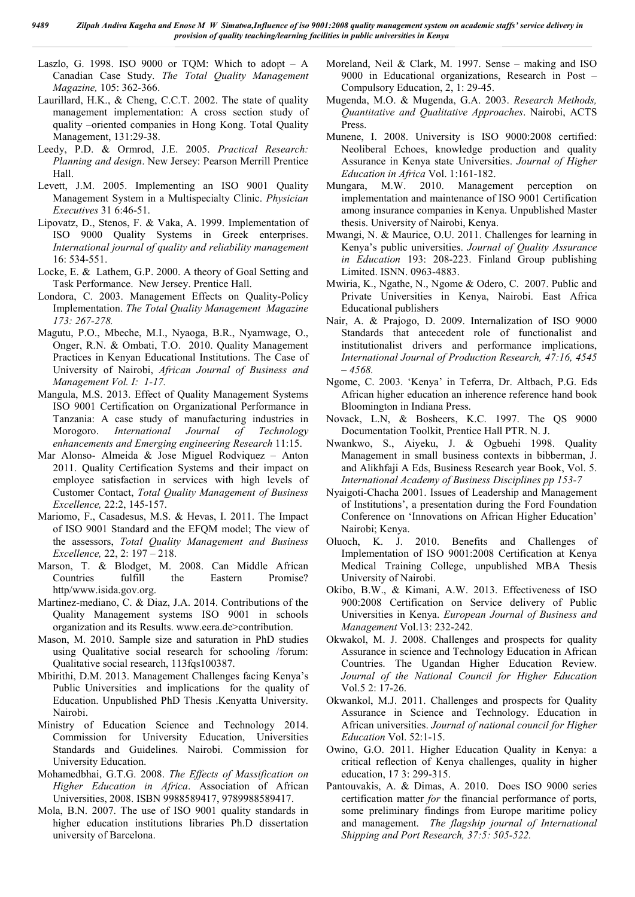Laszlo, G. 1998. ISO 9000 or TQM: Which to adopt  $- A$ Canadian Case Study. *The Total Quality Management Magazine,* 105: 362-366.

- Laurillard, H.K., & Cheng, C.C.T. 2002. The state of quality management implementation: A cross section study of quality –oriented companies in Hong Kong. Total Quality Management, 131:29-38.
- Leedy, P.D. & Ormrod, J.E. 2005. *Practical Research: Planning and design*. New Jersey: Pearson Merrill Prentice Hall.
- Levett, J.M. 2005. Implementing an ISO 9001 Quality Management System in a Multispecialty Clinic. *Physician Executives* 31 6:46-51.
- Lipovatz, D., Stenos, F. & Vaka, A. 1999. Implementation of ISO 9000 Quality Systems in Greek enterprises. *International journal of quality and reliability management*  16: 534-551.
- Locke, E. & Lathem, G.P. 2000. A theory of Goal Setting and Task Performance. New Jersey. Prentice Hall.
- Londora, C. 2003. Management Effects on Quality-Policy Implementation. *The Total Quality Management Magazine 173: 267-278.*
- Magutu, P.O., Mbeche, M.I., Nyaoga, B.R., Nyamwage, O., Onger, R.N. & Ombati, T.O. 2010. Quality Management Practices in Kenyan Educational Institutions. The Case of University of Nairobi, *African Journal of Business and Management Vol. I: 1-17.*
- Mangula, M.S. 2013. Effect of Quality Management Systems ISO 9001 Certification on Organizational Performance in Tanzania: A case study of manufacturing industries in Morogoro. *International Journal of Technology enhancements and Emerging engineering Research* 11:15.
- Mar Alonso- Almeida & Jose Miguel Rodviquez Anton 2011. Quality Certification Systems and their impact on employee satisfaction in services with high levels of Customer Contact, *Total Quality Management of Business Excellence,* 22:2, 145-157.
- Mariomo, F., Casadesus, M.S. & Hevas, I. 2011. The Impact of ISO 9001 Standard and the EFQM model; The view of the assessors, *Total Quality Management and Business Excellence,* 22, 2: 197 – 218.
- Marson, T. & Blodget, M. 2008. Can Middle African Countries fulfill the Eastern Promise? http/www.isida.gov.org.
- Martinez-mediano, C. & Diaz, J.A. 2014. Contributions of the Quality Management systems ISO 9001 in schools organization and its Results. www.eera.de>contribution.
- Mason, M. 2010. Sample size and saturation in PhD studies using Qualitative social research for schooling /forum: Qualitative social research, 113fqs100387.
- Mbirithi, D.M. 2013. Management Challenges facing Kenya's Public Universities and implications for the quality of Education. Unpublished PhD Thesis .Kenyatta University. Nairobi.
- Ministry of Education Science and Technology 2014. Commission for University Education, Universities Standards and Guidelines. Nairobi. Commission for University Education.
- Mohamedbhai, G.T.G. 2008. *The Effects of Massification on Higher Education in Africa*. Association of African Universities, 2008. ISBN 9988589417, 9789988589417.
- Mola, B.N. 2007. The use of ISO 9001 quality standards in higher education institutions libraries Ph.D dissertation university of Barcelona.
- Moreland, Neil & Clark, M. 1997. Sense making and ISO 9000 in Educational organizations, Research in Post – Compulsory Education, 2, 1: 29-45.
- Mugenda, M.O. & Mugenda, G.A. 2003. *Research Methods, Quantitative and Qualitative Approaches*. Nairobi, ACTS Press.
- Munene, I. 2008. University is ISO 9000:2008 certified: Neoliberal Echoes, knowledge production and quality Assurance in Kenya state Universities. *Journal of Higher Education in Africa* Vol. 1:161-182.
- Mungara, M.W. 2010. Management perception on implementation and maintenance of ISO 9001 Certification among insurance companies in Kenya. Unpublished Master thesis. University of Nairobi, Kenya.
- Mwangi, N. & Maurice, O.U. 2011. Challenges for learning in Kenya's public universities. *Journal of Quality Assurance in Education* 193: 208-223. Finland Group publishing Limited. ISNN. 0963-4883.
- Mwiria, K., Ngathe, N., Ngome & Odero, C. 2007. Public and Private Universities in Kenya, Nairobi. East Africa Educational publishers
- Nair, A. & Prajogo, D. 2009. Internalization of ISO 9000 Standards that antecedent role of functionalist and institutionalist drivers and performance implications, *International Journal of Production Research, 47:16, 4545 – 4568.*
- Ngome, C. 2003. 'Kenya' in Teferra, Dr. Altbach, P.G. Eds African higher education an inherence reference hand book Bloomington in Indiana Press.
- Novack, L.N, & Bosheers, K.C. 1997. The QS 9000 Documentation Toolkit, Prentice Hall PTR. N. J.
- Nwankwo, S., Aiyeku, J. & Ogbuehi 1998. Quality Management in small business contexts in bibberman, J. and Alikhfaji A Eds, Business Research year Book, Vol. 5. *International Academy of Business Disciplines pp 153-7*
- Nyaigoti-Chacha 2001. Issues of Leadership and Management of Institutions', a presentation during the Ford Foundation Conference on 'Innovations on African Higher Education' Nairobi; Kenya.
- Oluoch, K. J. 2010. Benefits and Challenges of Implementation of ISO 9001:2008 Certification at Kenya Medical Training College, unpublished MBA Thesis University of Nairobi.
- Okibo, B.W., & Kimani, A.W. 2013. Effectiveness of ISO 900:2008 Certification on Service delivery of Public Universities in Kenya. *European Journal of Business and Management* Vol.13: 232-242.
- Okwakol, M. J. 2008. Challenges and prospects for quality Assurance in science and Technology Education in African Countries. The Ugandan Higher Education Review. *Journal of the National Council for Higher Education*  Vol.5 2: 17-26.
- Okwankol, M.J. 2011. Challenges and prospects for Quality Assurance in Science and Technology. Education in African universities. *Journal of national council for Higher Education* Vol. 52:1-15.
- Owino, G.O. 2011. Higher Education Quality in Kenya: a critical reflection of Kenya challenges, quality in higher education, 17 3: 299-315.
- Pantouvakis, A. & Dimas, A. 2010. Does ISO 9000 series certification matter *for* the financial performance of ports, some preliminary findings from Europe maritime policy and management. *The flagship journal of International Shipping and Port Research, 37:5: 505-522.*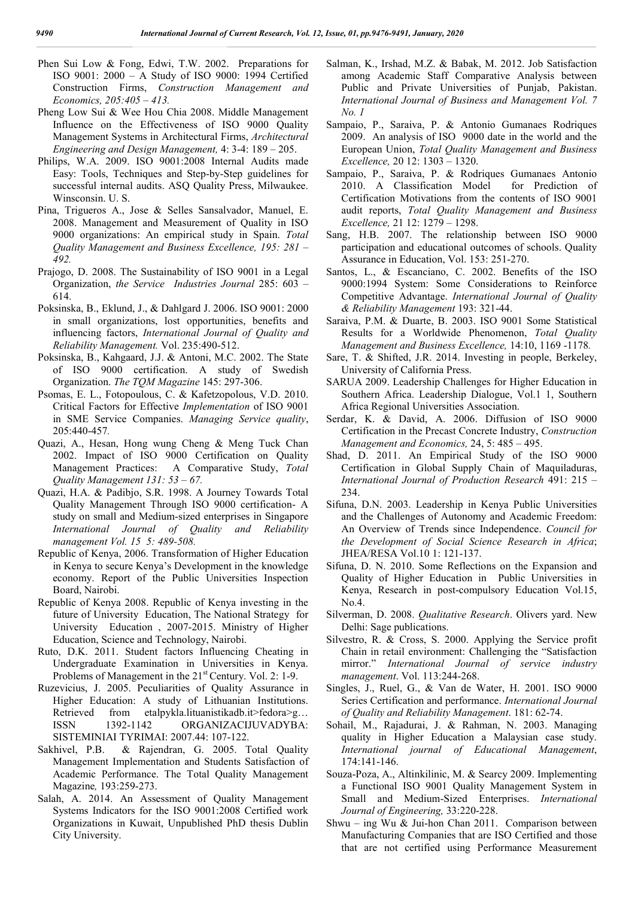- Phen Sui Low & Fong, Edwi, T.W. 2002. Preparations for ISO 9001: 2000 – A Study of ISO 9000: 1994 Certified Construction Firms, *Construction Management and Economics, 205:405 – 413.*
- Pheng Low Sui & Wee Hou Chia 2008. Middle Management Influence on the Effectiveness of ISO 9000 Quality Management Systems in Architectural Firms, *Architectural Engineering and Design Management,* 4: 3-4: 189 – 205.
- Philips, W.A. 2009. ISO 9001:2008 Internal Audits made Easy: Tools, Techniques and Step-by-Step guidelines for successful internal audits. ASQ Quality Press, Milwaukee. Winsconsin. U. S.
- Pina, Trigueros A., Jose & Selles Sansalvador, Manuel, E. 2008. Management and Measurement of Quality in ISO 9000 organizations: An empirical study in Spain. *Total Quality Management and Business Excellence, 195: 281 – 492.*
- Prajogo, D. 2008. The Sustainability of ISO 9001 in a Legal Organization, *the Service Industries Journal* 285: 603 – 614.
- Poksinska, B., Eklund, J., & Dahlgard J. 2006. ISO 9001: 2000 in small organizations, lost opportunities, benefits and influencing factors, *International Journal of Quality and Reliability Management.* Vol. 235:490-512.
- Poksinska, B., Kahgaard, J.J. & Antoni, M.C. 2002. The State of ISO 9000 certification. A study of Swedish Organization. *The TQM Magazine* 145: 297-306.
- Psomas, E. L., Fotopoulous, C. & Kafetzopolous, V.D. 2010. Critical Factors for Effective *Implementation* of ISO 9001 in SME Service Companies. *Managing Service quality*, 205:440-457*.*
- Quazi, A., Hesan, Hong wung Cheng & Meng Tuck Chan 2002. Impact of ISO 9000 Certification on Quality Management Practices: A Comparative Study, *Total Quality Management 131: 53 – 67.*
- Quazi, H.A. & Padibjo, S.R. 1998. A Journey Towards Total Quality Management Through ISO 9000 certification- A study on small and Medium-sized enterprises in Singapore *International Journal of Quality and Reliability management Vol. 15 5: 489-508.*
- Republic of Kenya, 2006. Transformation of Higher Education in Kenya to secure Kenya's Development in the knowledge economy. Report of the Public Universities Inspection Board, Nairobi.
- Republic of Kenya 2008. Republic of Kenya investing in the future of University Education, The National Strategy for University Education , 2007-2015. Ministry of Higher Education, Science and Technology, Nairobi.
- Ruto, D.K. 2011. Student factors Influencing Cheating in Undergraduate Examination in Universities in Kenya. Problems of Management in the 21<sup>st</sup> Century. Vol. 2: 1-9.
- Ruzevicius, J. 2005. Peculiarities of Quality Assurance in Higher Education: A study of Lithuanian Institutions. Retrieved from etalpykla.lituanistikadb.it>fedora>g… ISSN 1392-1142 ORGANIZACIJUVADYBA: SISTEMINIAI TYRIMAI: 2007.44: 107-122.
- Sakhivel, P.B. & Rajendran, G. 2005. Total Quality Management Implementation and Students Satisfaction of Academic Performance. The Total Quality Management Magazine*,* 193:259-273.
- Salah, A. 2014. An Assessment of Quality Management Systems Indicators for the ISO 9001:2008 Certified work Organizations in Kuwait, Unpublished PhD thesis Dublin City University.
- Salman, K., Irshad, M.Z. & Babak, M. 2012. Job Satisfaction among Academic Staff Comparative Analysis between Public and Private Universities of Punjab, Pakistan. *International Journal of Business and Management Vol. 7 No. 1*
- Sampaio, P., Saraiva, P. & Antonio Gumanaes Rodriques 2009. An analysis of ISO 9000 date in the world and the European Union, *Total Quality Management and Business Excellence,* 20 12: 1303 – 1320.
- Sampaio, P., Saraiva, P. & Rodriques Gumanaes Antonio 2010. A Classification Model for Prediction of Certification Motivations from the contents of ISO 9001 audit reports, *Total Quality Management and Business Excellence,* 21 12: 1279 – 1298.
- Sang, H.B. 2007. The relationship between ISO 9000 participation and educational outcomes of schools. Quality Assurance in Education, Vol. 153: 251-270.
- Santos, L., & Escanciano, C. 2002. Benefits of the ISO 9000:1994 System: Some Considerations to Reinforce Competitive Advantage. *International Journal of Quality & Reliability Management* 193: 321-44.
- Saraiva, P.M. & Duarte, B. 2003. ISO 9001 Some Statistical Results for a Worldwide Phenomenon, *Total Quality Management and Business Excellence,* 14:10, 1169 -1178*.*
- Sare, T. & Shifted, J.R. 2014. Investing in people, Berkeley, University of California Press.
- SARUA 2009. Leadership Challenges for Higher Education in Southern Africa. Leadership Dialogue, Vol.1 1, Southern Africa Regional Universities Association.
- Serdar, K. & David, A. 2006. Diffusion of ISO 9000 Certification in the Precast Concrete Industry, *Construction Management and Economics,* 24, 5: 485 – 495.
- Shad, D. 2011. An Empirical Study of the ISO 9000 Certification in Global Supply Chain of Maquiladuras, *International Journal of Production Research* 491: 215 – 234.
- Sifuna, D.N. 2003. Leadership in Kenya Public Universities and the Challenges of Autonomy and Academic Freedom: An Overview of Trends since Independence. *Council for the Development of Social Science Research in Africa*; JHEA/RESA Vol.10 1: 121-137.
- Sifuna, D. N. 2010. Some Reflections on the Expansion and Quality of Higher Education in Public Universities in Kenya, Research in post-compulsory Education Vol.15, No.4.
- Silverman, D. 2008. *Qualitative Research*. Olivers yard. New Delhi: Sage publications.
- Silvestro, R. & Cross, S. 2000. Applying the Service profit Chain in retail environment: Challenging the "Satisfaction mirror." *International Journal of service industry management*. Vol. 113:244-268.
- Singles, J., Ruel, G., & Van de Water, H. 2001. ISO 9000 Series Certification and performance. *International Journal of Quality and Reliability Management*. 181: 62-74.
- Sohail, M., Rajadurai, J. & Rahman, N. 2003. Managing quality in Higher Education a Malaysian case study. *International journal of Educational Management*, 174:141-146.
- Souza-Poza, A., Altinkilinic, M. & Searcy 2009. Implementing a Functional ISO 9001 Quality Management System in Small and Medium-Sized Enterprises. *International Journal of Engineering,* 33:220-228.
- Shwu ing Wu & Jui-hon Chan 2011. Comparison between Manufacturing Companies that are ISO Certified and those that are not certified using Performance Measurement